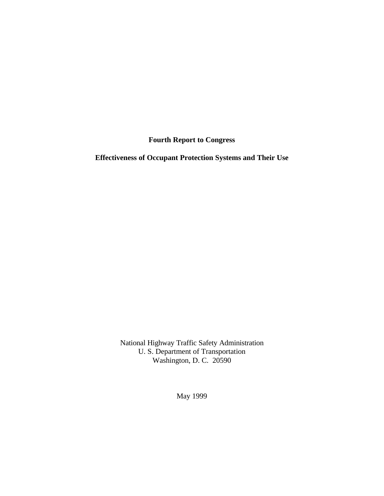**Fourth Report to Congress**

**Effectiveness of Occupant Protection Systems and Their Use**

National Highway Traffic Safety Administration U. S. Department of Transportation Washington, D. C. 20590

May 1999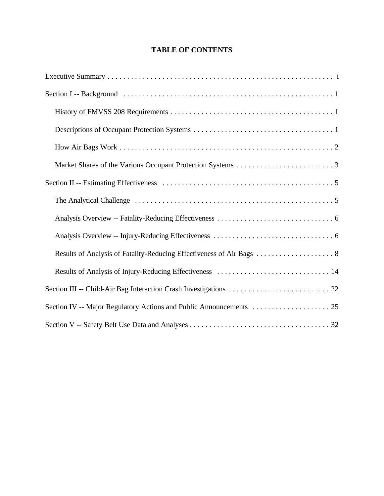## **TABLE OF CONTENTS**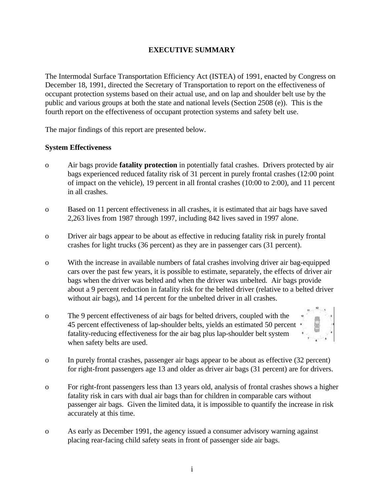## **EXECUTIVE SUMMARY**

The Intermodal Surface Transportation Efficiency Act (ISTEA) of 1991, enacted by Congress on December 18, 1991, directed the Secretary of Transportation to report on the effectiveness of occupant protection systems based on their actual use, and on lap and shoulder belt use by the public and various groups at both the state and national levels (Section 2508 (e)). This is the fourth report on the effectiveness of occupant protection systems and safety belt use.

The major findings of this report are presented below.

#### **System Effectiveness**

- o Air bags provide **fatality protection** in potentially fatal crashes. Drivers protected by air bags experienced reduced fatality risk of 31 percent in purely frontal crashes (12:00 point of impact on the vehicle), 19 percent in all frontal crashes (10:00 to 2:00), and 11 percent in all crashes.
- o Based on 11 percent effectiveness in all crashes, it is estimated that air bags have saved 2,263 lives from 1987 through 1997, including 842 lives saved in 1997 alone.
- o Driver air bags appear to be about as effective in reducing fatality risk in purely frontal crashes for light trucks (36 percent) as they are in passenger cars (31 percent).
- o With the increase in available numbers of fatal crashes involving driver air bag-equipped cars over the past few years, it is possible to estimate, separately, the effects of driver air bags when the driver was belted and when the driver was unbelted. Air bags provide about a 9 percent reduction in fatality risk for the belted driver (relative to a belted driver without air bags), and 14 percent for the unbelted driver in all crashes.
- o The 9 percent effectiveness of air bags for belted drivers, coupled with the 45 percent effectiveness of lap-shoulder belts, yields an estimated 50 percent fatality-reducing effectiveness for the air bag plus lap-shoulder belt system when safety belts are used.



- o In purely frontal crashes, passenger air bags appear to be about as effective (32 percent) for right-front passengers age 13 and older as driver air bags (31 percent) are for drivers.
- o For right-front passengers less than 13 years old, analysis of frontal crashes shows a higher fatality risk in cars with dual air bags than for children in comparable cars without passenger air bags. Given the limited data, it is impossible to quantify the increase in risk accurately at this time.
- o As early as December 1991, the agency issued a consumer advisory warning against placing rear-facing child safety seats in front of passenger side air bags.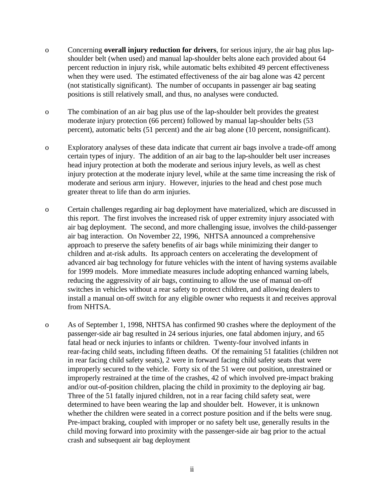- o Concerning **overall injury reduction for drivers**, for serious injury, the air bag plus lapshoulder belt (when used) and manual lap-shoulder belts alone each provided about 64 percent reduction in injury risk, while automatic belts exhibited 49 percent effectiveness when they were used. The estimated effectiveness of the air bag alone was 42 percent (not statistically significant). The number of occupants in passenger air bag seating positions is still relatively small, and thus, no analyses were conducted.
- o The combination of an air bag plus use of the lap-shoulder belt provides the greatest moderate injury protection (66 percent) followed by manual lap-shoulder belts (53 percent), automatic belts (51 percent) and the air bag alone (10 percent, nonsignificant).
- o Exploratory analyses of these data indicate that current air bags involve a trade-off among certain types of injury. The addition of an air bag to the lap-shoulder belt user increases head injury protection at both the moderate and serious injury levels, as well as chest injury protection at the moderate injury level, while at the same time increasing the risk of moderate and serious arm injury. However, injuries to the head and chest pose much greater threat to life than do arm injuries.
- o Certain challenges regarding air bag deployment have materialized, which are discussed in this report. The first involves the increased risk of upper extremity injury associated with air bag deployment. The second, and more challenging issue, involves the child-passenger air bag interaction. On November 22, 1996, NHTSA announced a comprehensive approach to preserve the safety benefits of air bags while minimizing their danger to children and at-risk adults. Its approach centers on accelerating the development of advanced air bag technology for future vehicles with the intent of having systems available for 1999 models. More immediate measures include adopting enhanced warning labels, reducing the aggressivity of air bags, continuing to allow the use of manual on-off switches in vehicles without a rear safety to protect children, and allowing dealers to install a manual on-off switch for any eligible owner who requests it and receives approval from NHTSA.
- o As of September 1, 1998, NHTSA has confirmed 90 crashes where the deployment of the passenger-side air bag resulted in 24 serious injuries, one fatal abdomen injury, and 65 fatal head or neck injuries to infants or children. Twenty-four involved infants in rear-facing child seats, including fifteen deaths. Of the remaining 51 fatalities (children not in rear facing child safety seats), 2 were in forward facing child safety seats that were improperly secured to the vehicle. Forty six of the 51 were out position, unrestrained or improperly restrained at the time of the crashes, 42 of which involved pre-impact braking and/or out-of-position children, placing the child in proximity to the deploying air bag. Three of the 51 fatally injured children, not in a rear facing child safety seat, were determined to have been wearing the lap and shoulder belt. However, it is unknown whether the children were seated in a correct posture position and if the belts were snug. Pre-impact braking, coupled with improper or no safety belt use, generally results in the child moving forward into proximity with the passenger-side air bag prior to the actual crash and subsequent air bag deployment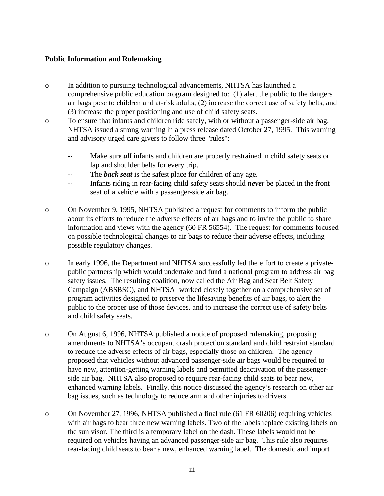#### **Public Information and Rulemaking**

- o In addition to pursuing technological advancements, NHTSA has launched a comprehensive public education program designed to: (1) alert the public to the dangers air bags pose to children and at-risk adults, (2) increase the correct use of safety belts, and (3) increase the proper positioning and use of child safety seats.
- o To ensure that infants and children ride safely, with or without a passenger-side air bag, NHTSA issued a strong warning in a press release dated October 27, 1995. This warning and advisory urged care givers to follow three "rules":
	- -- Make sure *all* infants and children are properly restrained in child safety seats or lap and shoulder belts for every trip.
	- -- The *back seat* is the safest place for children of any age.
	- -- Infants riding in rear-facing child safety seats should *never* be placed in the front seat of a vehicle with a passenger-side air bag.
- o On November 9, 1995, NHTSA published a request for comments to inform the public about its efforts to reduce the adverse effects of air bags and to invite the public to share information and views with the agency (60 FR 56554). The request for comments focused on possible technological changes to air bags to reduce their adverse effects, including possible regulatory changes.
- o In early 1996, the Department and NHTSA successfully led the effort to create a privatepublic partnership which would undertake and fund a national program to address air bag safety issues. The resulting coalition, now called the Air Bag and Seat Belt Safety Campaign (ABSBSC), and NHTSA worked closely together on a comprehensive set of program activities designed to preserve the lifesaving benefits of air bags, to alert the public to the proper use of those devices, and to increase the correct use of safety belts and child safety seats.
- o On August 6, 1996, NHTSA published a notice of proposed rulemaking, proposing amendments to NHTSA's occupant crash protection standard and child restraint standard to reduce the adverse effects of air bags, especially those on children. The agency proposed that vehicles without advanced passenger-side air bags would be required to have new, attention-getting warning labels and permitted deactivation of the passengerside air bag. NHTSA also proposed to require rear-facing child seats to bear new, enhanced warning labels. Finally, this notice discussed the agency's research on other air bag issues, such as technology to reduce arm and other injuries to drivers.
- o On November 27, 1996, NHTSA published a final rule (61 FR 60206) requiring vehicles with air bags to bear three new warning labels. Two of the labels replace existing labels on the sun visor. The third is a temporary label on the dash. These labels would not be required on vehicles having an advanced passenger-side air bag. This rule also requires rear-facing child seats to bear a new, enhanced warning label. The domestic and import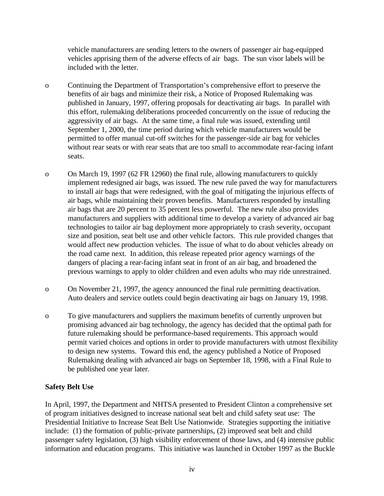vehicle manufacturers are sending letters to the owners of passenger air bag-equipped vehicles apprising them of the adverse effects of air bags. The sun visor labels will be included with the letter.

- o Continuing the Department of Transportation's comprehensive effort to preserve the benefits of air bags and minimize their risk, a Notice of Proposed Rulemaking was published in January, 1997, offering proposals for deactivating air bags. In parallel with this effort, rulemaking deliberations proceeded concurrently on the issue of reducing the aggressivity of air bags. At the same time, a final rule was issued, extending until September 1, 2000, the time period during which vehicle manufacturers would be permitted to offer manual cut-off switches for the passenger-side air bag for vehicles without rear seats or with rear seats that are too small to accommodate rear-facing infant seats.
- o On March 19, 1997 (62 FR 12960) the final rule, allowing manufacturers to quickly implement redesigned air bags, was issued. The new rule paved the way for manufacturers to install air bags that were redesigned, with the goal of mitigating the injurious effects of air bags, while maintaining their proven benefits. Manufacturers responded by installing air bags that are 20 percent to 35 percent less powerful. The new rule also provides manufacturers and suppliers with additional time to develop a variety of advanced air bag technologies to tailor air bag deployment more appropriately to crash severity, occupant size and position, seat belt use and other vehicle factors. This rule provided changes that would affect new production vehicles. The issue of what to do about vehicles already on the road came next. In addition, this release repeated prior agency warnings of the dangers of placing a rear-facing infant seat in front of an air bag, and broadened the previous warnings to apply to older children and even adults who may ride unrestrained.
- o On November 21, 1997, the agency announced the final rule permitting deactivation. Auto dealers and service outlets could begin deactivating air bags on January 19, 1998.
- o To give manufacturers and suppliers the maximum benefits of currently unproven but promising advanced air bag technology, the agency has decided that the optimal path for future rulemaking should be performance-based requirements. This approach would permit varied choices and options in order to provide manufacturers with utmost flexibility to design new systems. Toward this end, the agency published a Notice of Proposed Rulemaking dealing with advanced air bags on September 18, 1998, with a Final Rule to be published one year later.

## **Safety Belt Use**

In April, 1997, the Department and NHTSA presented to President Clinton a comprehensive set of program initiatives designed to increase national seat belt and child safety seat use: The Presidential Initiative to Increase Seat Belt Use Nationwide. Strategies supporting the initiative include: (1) the formation of public-private partnerships, (2) improved seat belt and child passenger safety legislation, (3) high visibility enforcement of those laws, and (4) intensive public information and education programs. This initiative was launched in October 1997 as the Buckle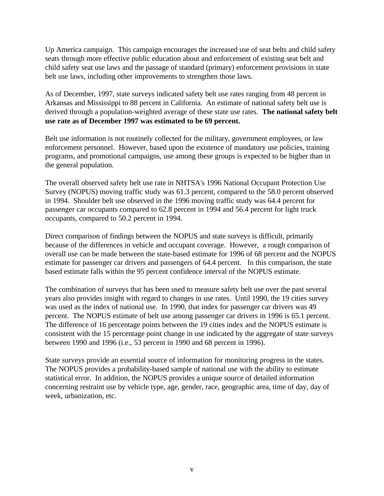Up America campaign. This campaign encourages the increased use of seat belts and child safety seats through more effective public education about and enforcement of existing seat belt and child safety seat use laws and the passage of standard (primary) enforcement provisions in state belt use laws, including other improvements to strengthen those laws.

As of December, 1997, state surveys indicated safety belt use rates ranging from 48 percent in Arkansas and Mississippi to 88 percent in California. An estimate of national safety belt use is derived through a population-weighted average of these state use rates. **The national safety belt use rate as of December 1997 was estimated to be 69 percent.**

Belt use information is not routinely collected for the military, government employees, or law enforcement personnel. However, based upon the existence of mandatory use policies, training programs, and promotional campaigns, use among these groups is expected to be higher than in the general population.

The overall observed safety belt use rate in NHTSA's 1996 National Occupant Protection Use Survey (NOPUS) moving traffic study was 61.3 percent, compared to the 58.0 percent observed in 1994. Shoulder belt use observed in the 1996 moving traffic study was 64.4 percent for passenger car occupants compared to 62.8 percent in 1994 and 56.4 percent for light truck occupants, compared to 50.2 percent in 1994.

Direct comparison of findings between the NOPUS and state surveys is difficult, primarily because of the differences in vehicle and occupant coverage. However, a rough comparison of overall use can be made between the state-based estimate for 1996 of 68 percent and the NOPUS estimate for passenger car drivers and passengers of 64.4 percent. In this comparison, the state based estimate falls within the 95 percent confidence interval of the NOPUS estimate.

The combination of surveys that has been used to measure safety belt use over the past several years also provides insight with regard to changes in use rates. Until 1990, the 19 cities survey was used as the index of national use. In 1990, that index for passenger car drivers was 49 percent. The NOPUS estimate of belt use among passenger car drivers in 1996 is 65.1 percent. The difference of 16 percentage points between the 19 cities index and the NOPUS estimate is consistent with the 15 percentage point change in use indicated by the aggregate of state surveys between 1990 and 1996 (i.e., 53 percent in 1990 and 68 percent in 1996).

State surveys provide an essential source of information for monitoring progress in the states. The NOPUS provides a probability-based sample of national use with the ability to estimate statistical error. In addition, the NOPUS provides a unique source of detailed information concerning restraint use by vehicle type, age, gender, race, geographic area, time of day, day of week, urbanization, etc.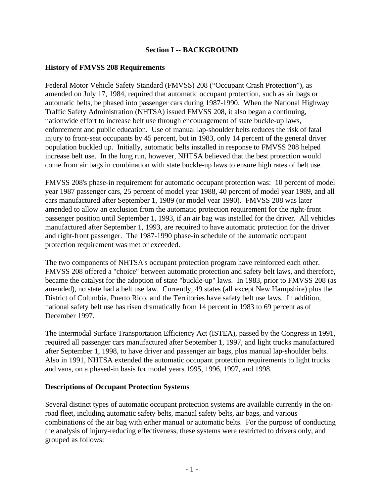## **Section I -- BACKGROUND**

#### **History of FMVSS 208 Requirements**

Federal Motor Vehicle Safety Standard (FMVSS) 208 ("Occupant Crash Protection"), as amended on July 17, 1984, required that automatic occupant protection, such as air bags or automatic belts, be phased into passenger cars during 1987-1990. When the National Highway Traffic Safety Administration (NHTSA) issued FMVSS 208, it also began a continuing, nationwide effort to increase belt use through encouragement of state buckle-up laws, enforcement and public education. Use of manual lap-shoulder belts reduces the risk of fatal injury to front-seat occupants by 45 percent, but in 1983, only 14 percent of the general driver population buckled up. Initially, automatic belts installed in response to FMVSS 208 helped increase belt use. In the long run, however, NHTSA believed that the best protection would come from air bags in combination with state buckle-up laws to ensure high rates of belt use.

FMVSS 208's phase-in requirement for automatic occupant protection was: 10 percent of model year 1987 passenger cars, 25 percent of model year 1988, 40 percent of model year 1989, and all cars manufactured after September 1, 1989 (or model year 1990). FMVSS 208 was later amended to allow an exclusion from the automatic protection requirement for the right-front passenger position until September 1, 1993, if an air bag was installed for the driver. All vehicles manufactured after September 1, 1993, are required to have automatic protection for the driver and right-front passenger. The 1987-1990 phase-in schedule of the automatic occupant protection requirement was met or exceeded.

The two components of NHTSA's occupant protection program have reinforced each other. FMVSS 208 offered a "choice" between automatic protection and safety belt laws, and therefore, became the catalyst for the adoption of state "buckle-up" laws. In 1983, prior to FMVSS 208 (as amended), no state had a belt use law. Currently, 49 states (all except New Hampshire) plus the District of Columbia, Puerto Rico, and the Territories have safety belt use laws. In addition, national safety belt use has risen dramatically from 14 percent in 1983 to 69 percent as of December 1997.

The Intermodal Surface Transportation Efficiency Act (ISTEA), passed by the Congress in 1991, required all passenger cars manufactured after September 1, 1997, and light trucks manufactured after September 1, 1998, to have driver and passenger air bags, plus manual lap-shoulder belts. Also in 1991, NHTSA extended the automatic occupant protection requirements to light trucks and vans, on a phased-in basis for model years 1995, 1996, 1997, and 1998.

#### **Descriptions of Occupant Protection Systems**

Several distinct types of automatic occupant protection systems are available currently in the onroad fleet, including automatic safety belts, manual safety belts, air bags, and various combinations of the air bag with either manual or automatic belts. For the purpose of conducting the analysis of injury-reducing effectiveness, these systems were restricted to drivers only, and grouped as follows: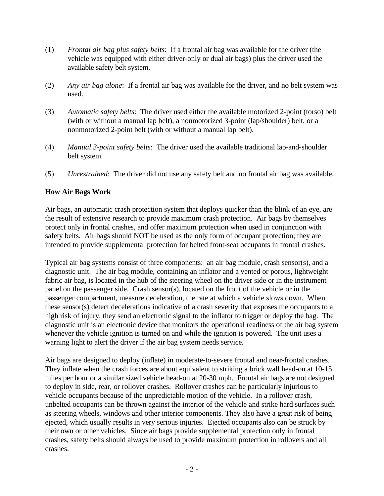- (1) *Frontal air bag plus safety belts*: If a frontal air bag was available for the driver (the vehicle was equipped with either driver-only or dual air bags) plus the driver used the available safety belt system.
- (2) *Any air bag alone*: If a frontal air bag was available for the driver, and no belt system was used.
- (3) *Automatic safety belts*: The driver used either the available motorized 2-point (torso) belt (with or without a manual lap belt), a nonmotorized 3-point (lap/shoulder) belt, or a nonmotorized 2-point belt (with or without a manual lap belt).
- (4) *Manual 3-point safety belts*: The driver used the available traditional lap-and-shoulder belt system.
- (5) *Unrestrained*: The driver did not use any safety belt and no frontal air bag was available.

## **How Air Bags Work**

Air bags, an automatic crash protection system that deploys quicker than the blink of an eye, are the result of extensive research to provide maximum crash protection. Air bags by themselves protect only in frontal crashes, and offer maximum protection when used in conjunction with safety belts. Air bags should NOT be used as the only form of occupant protection; they are intended to provide supplemental protection for belted front-seat occupants in frontal crashes.

Typical air bag systems consist of three components: an air bag module, crash sensor(s), and a diagnostic unit. The air bag module, containing an inflator and a vented or porous, lightweight fabric air bag, is located in the hub of the steering wheel on the driver side or in the instrument panel on the passenger side. Crash sensor(s), located on the front of the vehicle or in the passenger compartment, measure deceleration, the rate at which a vehicle slows down. When these sensor(s) detect decelerations indicative of a crash severity that exposes the occupants to a high risk of injury, they send an electronic signal to the inflator to trigger or deploy the bag. The diagnostic unit is an electronic device that monitors the operational readiness of the air bag system whenever the vehicle ignition is turned on and while the ignition is powered. The unit uses a warning light to alert the driver if the air bag system needs service.

Air bags are designed to deploy (inflate) in moderate-to-severe frontal and near-frontal crashes. They inflate when the crash forces are about equivalent to striking a brick wall head-on at 10-15 miles per hour or a similar sized vehicle head-on at 20-30 mph. Frontal air bags are not designed to deploy in side, rear, or rollover crashes. Rollover crashes can be particularly injurious to vehicle occupants because of the unpredictable motion of the vehicle. In a rollover crash, unbelted occupants can be thrown against the interior of the vehicle and strike hard surfaces such as steering wheels, windows and other interior components. They also have a great risk of being ejected, which usually results in very serious injuries. Ejected occupants also can be struck by their own or other vehicles. Since air bags provide supplemental protection only in frontal crashes, safety belts should always be used to provide maximum protection in rollovers and all crashes.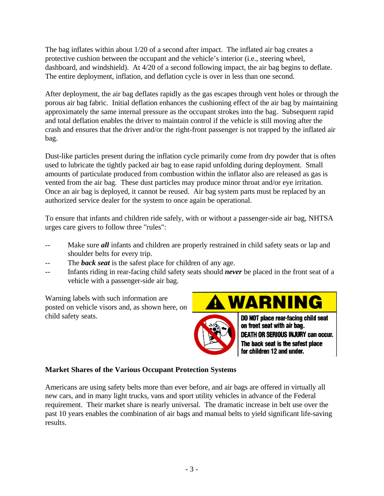The bag inflates within about 1/20 of a second after impact. The inflated air bag creates a protective cushion between the occupant and the vehicle's interior (i.e., steering wheel, dashboard, and windshield). At 4/20 of a second following impact, the air bag begins to deflate. The entire deployment, inflation, and deflation cycle is over in less than one second.

After deployment, the air bag deflates rapidly as the gas escapes through vent holes or through the porous air bag fabric. Initial deflation enhances the cushioning effect of the air bag by maintaining approximately the same internal pressure as the occupant strokes into the bag. Subsequent rapid and total deflation enables the driver to maintain control if the vehicle is still moving after the crash and ensures that the driver and/or the right-front passenger is not trapped by the inflated air bag.

Dust-like particles present during the inflation cycle primarily come from dry powder that is often used to lubricate the tightly packed air bag to ease rapid unfolding during deployment. Small amounts of particulate produced from combustion within the inflator also are released as gas is vented from the air bag. These dust particles may produce minor throat and/or eye irritation. Once an air bag is deployed, it cannot be reused. Air bag system parts must be replaced by an authorized service dealer for the system to once again be operational.

To ensure that infants and children ride safely, with or without a passenger-side air bag, NHTSA urges care givers to follow three "rules":

- -- Make sure *all* infants and children are properly restrained in child safety seats or lap and shoulder belts for every trip.
- The **back seat** is the safest place for children of any age.
- -- Infants riding in rear-facing child safety seats should *never* be placed in the front seat of a vehicle with a passenger-side air bag.

Warning labels with such information are posted on vehicle visors and, as shown here, on child safety seats.

# WARNING



DO NOT place rear-facing child seat on front seat with air bag. DEATH OR SERIOUS INJURY can occur. The back seat is the safest place for children 12 and under.

## **Market Shares of the Various Occupant Protection Systems**

Americans are using safety belts more than ever before, and air bags are offered in virtually all new cars, and in many light trucks, vans and sport utility vehicles in advance of the Federal requirement. Their market share is nearly universal. The dramatic increase in belt use over the past 10 years enables the combination of air bags and manual belts to yield significant life-saving results.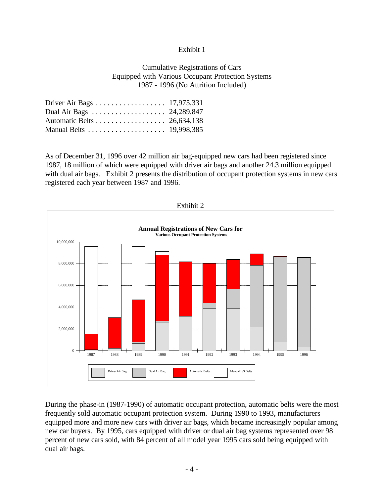#### Exhibit 1

#### Cumulative Registrations of Cars Equipped with Various Occupant Protection Systems 1987 - 1996 (No Attrition Included)

| Driver Air Bags 17,975,331 |  |
|----------------------------|--|
|                            |  |
| Automatic Belts 26,634,138 |  |
|                            |  |
|                            |  |

As of December 31, 1996 over 42 million air bag-equipped new cars had been registered since 1987, 18 million of which were equipped with driver air bags and another 24.3 million equipped with dual air bags. Exhibit 2 presents the distribution of occupant protection systems in new cars registered each year between 1987 and 1996.



During the phase-in (1987-1990) of automatic occupant protection, automatic belts were the most frequently sold automatic occupant protection system. During 1990 to 1993, manufacturers equipped more and more new cars with driver air bags, which became increasingly popular among new car buyers. By 1995, cars equipped with driver or dual air bag systems represented over 98 percent of new cars sold, with 84 percent of all model year 1995 cars sold being equipped with dual air bags.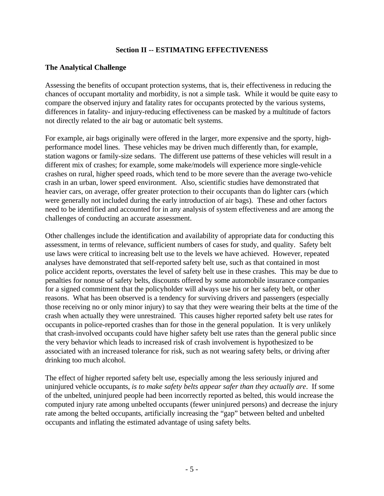#### **Section II -- ESTIMATING EFFECTIVENESS**

#### **The Analytical Challenge**

Assessing the benefits of occupant protection systems, that is, their effectiveness in reducing the chances of occupant mortality and morbidity, is not a simple task. While it would be quite easy to compare the observed injury and fatality rates for occupants protected by the various systems, differences in fatality- and injury-reducing effectiveness can be masked by a multitude of factors not directly related to the air bag or automatic belt systems.

For example, air bags originally were offered in the larger, more expensive and the sporty, highperformance model lines. These vehicles may be driven much differently than, for example, station wagons or family-size sedans. The different use patterns of these vehicles will result in a different mix of crashes; for example, some make/models will experience more single-vehicle crashes on rural, higher speed roads, which tend to be more severe than the average two-vehicle crash in an urban, lower speed environment. Also, scientific studies have demonstrated that heavier cars, on average, offer greater protection to their occupants than do lighter cars (which were generally not included during the early introduction of air bags). These and other factors need to be identified and accounted for in any analysis of system effectiveness and are among the challenges of conducting an accurate assessment.

Other challenges include the identification and availability of appropriate data for conducting this assessment, in terms of relevance, sufficient numbers of cases for study, and quality. Safety belt use laws were critical to increasing belt use to the levels we have achieved. However, repeated analyses have demonstrated that self-reported safety belt use, such as that contained in most police accident reports, overstates the level of safety belt use in these crashes. This may be due to penalties for nonuse of safety belts, discounts offered by some automobile insurance companies for a signed commitment that the policyholder will always use his or her safety belt, or other reasons. What has been observed is a tendency for surviving drivers and passengers (especially those receiving no or only minor injury) to say that they were wearing their belts at the time of the crash when actually they were unrestrained. This causes higher reported safety belt use rates for occupants in police-reported crashes than for those in the general population. It is very unlikely that crash-involved occupants could have higher safety belt use rates than the general public since the very behavior which leads to increased risk of crash involvement is hypothesized to be associated with an increased tolerance for risk, such as not wearing safety belts, or driving after drinking too much alcohol.

The effect of higher reported safety belt use, especially among the less seriously injured and uninjured vehicle occupants, *is to make safety belts appear safer than they actually are*. If some of the unbelted, uninjured people had been incorrectly reported as belted, this would increase the computed injury rate among unbelted occupants (fewer uninjured persons) and decrease the injury rate among the belted occupants, artificially increasing the "gap" between belted and unbelted occupants and inflating the estimated advantage of using safety belts.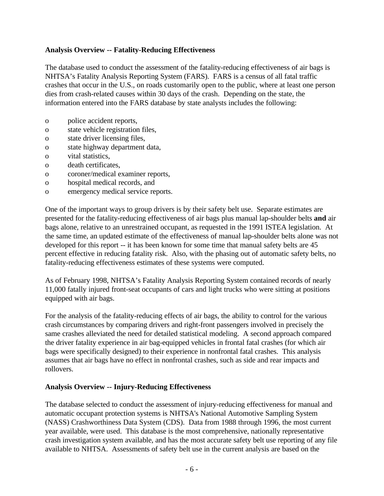## **Analysis Overview -- Fatality-Reducing Effectiveness**

The database used to conduct the assessment of the fatality-reducing effectiveness of air bags is NHTSA's Fatality Analysis Reporting System (FARS). FARS is a census of all fatal traffic crashes that occur in the U.S., on roads customarily open to the public, where at least one person dies from crash-related causes within 30 days of the crash. Depending on the state, the information entered into the FARS database by state analysts includes the following:

- o police accident reports,
- o state vehicle registration files,
- o state driver licensing files,
- o state highway department data,
- o vital statistics,
- o death certificates,
- o coroner/medical examiner reports,
- o hospital medical records, and
- o emergency medical service reports.

One of the important ways to group drivers is by their safety belt use. Separate estimates are presented for the fatality-reducing effectiveness of air bags plus manual lap-shoulder belts **and** air bags alone, relative to an unrestrained occupant, as requested in the 1991 ISTEA legislation. At the same time, an updated estimate of the effectiveness of manual lap-shoulder belts alone was not developed for this report -- it has been known for some time that manual safety belts are 45 percent effective in reducing fatality risk. Also, with the phasing out of automatic safety belts, no fatality-reducing effectiveness estimates of these systems were computed.

As of February 1998, NHTSA's Fatality Analysis Reporting System contained records of nearly 11,000 fatally injured front-seat occupants of cars and light trucks who were sitting at positions equipped with air bags.

For the analysis of the fatality-reducing effects of air bags, the ability to control for the various crash circumstances by comparing drivers and right-front passengers involved in precisely the same crashes alleviated the need for detailed statistical modeling. A second approach compared the driver fatality experience in air bag-equipped vehicles in frontal fatal crashes (for which air bags were specifically designed) to their experience in nonfrontal fatal crashes. This analysis assumes that air bags have no effect in nonfrontal crashes, such as side and rear impacts and rollovers.

## **Analysis Overview -- Injury-Reducing Effectiveness**

The database selected to conduct the assessment of injury-reducing effectiveness for manual and automatic occupant protection systems is NHTSA's National Automotive Sampling System (NASS) Crashworthiness Data System (CDS). Data from 1988 through 1996, the most current year available, were used. This database is the most comprehensive, nationally representative crash investigation system available, and has the most accurate safety belt use reporting of any file available to NHTSA. Assessments of safety belt use in the current analysis are based on the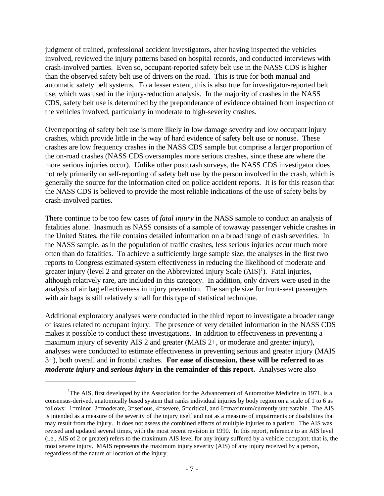judgment of trained, professional accident investigators, after having inspected the vehicles involved, reviewed the injury patterns based on hospital records, and conducted interviews with crash-involved parties. Even so, occupant-reported safety belt use in the NASS CDS is higher than the observed safety belt use of drivers on the road. This is true for both manual and automatic safety belt systems. To a lesser extent, this is also true for investigator-reported belt use, which was used in the injury-reduction analysis. In the majority of crashes in the NASS CDS, safety belt use is determined by the preponderance of evidence obtained from inspection of the vehicles involved, particularly in moderate to high-severity crashes.

Overreporting of safety belt use is more likely in low damage severity and low occupant injury crashes, which provide little in the way of hard evidence of safety belt use or nonuse. These crashes are low frequency crashes in the NASS CDS sample but comprise a larger proportion of the on-road crashes (NASS CDS oversamples more serious crashes, since these are where the more serious injuries occur). Unlike other postcrash surveys, the NASS CDS investigator does not rely primarily on self-reporting of safety belt use by the person involved in the crash, which is generally the source for the information cited on police accident reports. It is for this reason that the NASS CDS is believed to provide the most reliable indications of the use of safety belts by crash-involved parties.

There continue to be too few cases of *fatal injury* in the NASS sample to conduct an analysis of fatalities alone. Inasmuch as NASS consists of a sample of towaway passenger vehicle crashes in the United States, the file contains detailed information on a broad range of crash severities. In the NASS sample, as in the population of traffic crashes, less serious injuries occur much more often than do fatalities. To achieve a sufficiently large sample size, the analyses in the first two reports to Congress estimated system effectiveness in reducing the likelihood of moderate and greater injury (level 2 and greater on the Abbreviated Injury Scale (AIS)<sup>1</sup>). Fatal injuries, although relatively rare, are included in this category. In addition, only drivers were used in the analysis of air bag effectiveness in injury prevention. The sample size for front-seat passengers with air bags is still relatively small for this type of statistical technique.

Additional exploratory analyses were conducted in the third report to investigate a broader range of issues related to occupant injury. The presence of very detailed information in the NASS CDS makes it possible to conduct these investigations. In addition to effectiveness in preventing a maximum injury of severity AIS 2 and greater (MAIS 2+, or moderate and greater injury), analyses were conducted to estimate effectiveness in preventing serious and greater injury (MAIS 3+), both overall and in frontal crashes. **For ease of discussion, these will be referred to as** *moderate injury* **and** *serious injury* **in the remainder of this report.** Analyses were also

<sup>&</sup>lt;sup>1</sup>The AIS, first developed by the Association for the Advancement of Automotive Medicine in 1971, is a consensus-derived, anatomically based system that ranks individual injuries by body region on a scale of 1 to 6 as follows: 1=minor, 2=moderate, 3=serious, 4=severe, 5=critical, and 6=maximum/currently untreatable. The AIS is intended as a measure of the severity of the injury itself and not as a measure of impairments or disabilities that may result from the injury. It does not assess the combined effects of multiple injuries to a patient. The AIS was revised and updated several times, with the most recent revision in 1990. In this report, reference to an AIS level (i.e., AIS of 2 or greater) refers to the maximum AIS level for any injury suffered by a vehicle occupant; that is, the most severe injury. MAIS represents the maximum injury severity (AIS) of any injury received by a person, regardless of the nature or location of the injury.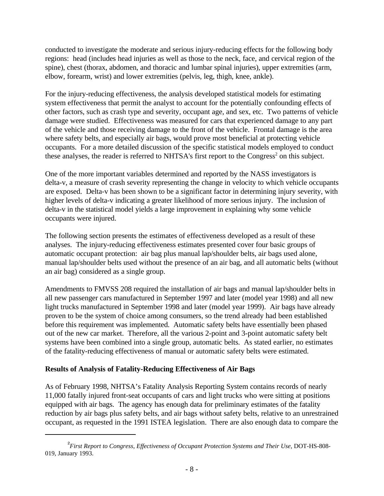conducted to investigate the moderate and serious injury-reducing effects for the following body regions: head (includes head injuries as well as those to the neck, face, and cervical region of the spine), chest (thorax, abdomen, and thoracic and lumbar spinal injuries), upper extremities (arm, elbow, forearm, wrist) and lower extremities (pelvis, leg, thigh, knee, ankle).

For the injury-reducing effectiveness, the analysis developed statistical models for estimating system effectiveness that permit the analyst to account for the potentially confounding effects of other factors, such as crash type and severity, occupant age, and sex, etc. Two patterns of vehicle damage were studied. Effectiveness was measured for cars that experienced damage to any part of the vehicle and those receiving damage to the front of the vehicle. Frontal damage is the area where safety belts, and especially air bags, would prove most beneficial at protecting vehicle occupants. For a more detailed discussion of the specific statistical models employed to conduct these analyses, the reader is referred to NHTSA's first report to the Congress<sup>2</sup> on this subject.

One of the more important variables determined and reported by the NASS investigators is delta-v, a measure of crash severity representing the change in velocity to which vehicle occupants are exposed. Delta-v has been shown to be a significant factor in determining injury severity, with higher levels of delta-v indicating a greater likelihood of more serious injury. The inclusion of delta-v in the statistical model yields a large improvement in explaining why some vehicle occupants were injured.

The following section presents the estimates of effectiveness developed as a result of these analyses. The injury-reducing effectiveness estimates presented cover four basic groups of automatic occupant protection: air bag plus manual lap/shoulder belts, air bags used alone, manual lap/shoulder belts used without the presence of an air bag, and all automatic belts (without an air bag) considered as a single group.

Amendments to FMVSS 208 required the installation of air bags and manual lap/shoulder belts in all new passenger cars manufactured in September 1997 and later (model year 1998) and all new light trucks manufactured in September 1998 and later (model year 1999). Air bags have already proven to be the system of choice among consumers, so the trend already had been established before this requirement was implemented. Automatic safety belts have essentially been phased out of the new car market. Therefore, all the various 2-point and 3-point automatic safety belt systems have been combined into a single group, automatic belts. As stated earlier, no estimates of the fatality-reducing effectiveness of manual or automatic safety belts were estimated.

## **Results of Analysis of Fatality-Reducing Effectiveness of Air Bags**

As of February 1998, NHTSA's Fatality Analysis Reporting System contains records of nearly 11,000 fatally injured front-seat occupants of cars and light trucks who were sitting at positions equipped with air bags. The agency has enough data for preliminary estimates of the fatality reduction by air bags plus safety belts, and air bags without safety belts, relative to an unrestrained occupant, as requested in the 1991 ISTEA legislation. There are also enough data to compare the

<sup>2</sup> *First Report to Congress, Effectiveness of Occupant Protection Systems and Their Use*, DOT-HS-808- 019, January 1993.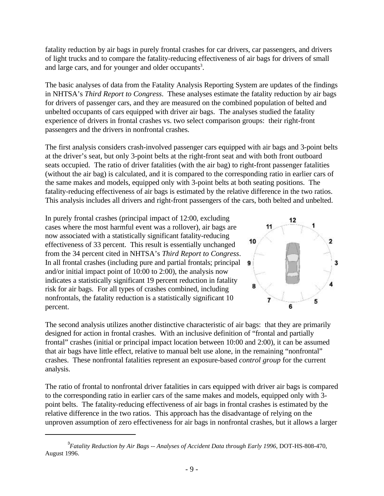fatality reduction by air bags in purely frontal crashes for car drivers, car passengers, and drivers of light trucks and to compare the fatality-reducing effectiveness of air bags for drivers of small and large cars, and for younger and older occupants<sup>3</sup>.

The basic analyses of data from the Fatality Analysis Reporting System are updates of the findings in NHTSA's *Third Report to Congress*. These analyses estimate the fatality reduction by air bags for drivers of passenger cars, and they are measured on the combined population of belted and unbelted occupants of cars equipped with driver air bags. The analyses studied the fatality experience of drivers in frontal crashes vs. two select comparison groups: their right-front passengers and the drivers in nonfrontal crashes.

The first analysis considers crash-involved passenger cars equipped with air bags and 3-point belts at the driver's seat, but only 3-point belts at the right-front seat and with both front outboard seats occupied. The ratio of driver fatalities (with the air bag) to right-front passenger fatalities (without the air bag) is calculated, and it is compared to the corresponding ratio in earlier cars of the same makes and models, equipped only with 3-point belts at both seating positions. The fatality-reducing effectiveness of air bags is estimated by the relative difference in the two ratios. This analysis includes all drivers and right-front passengers of the cars, both belted and unbelted.

In purely frontal crashes (principal impact of 12:00, excluding cases where the most harmful event was a rollover), air bags are now associated with a statistically significant fatality-reducing effectiveness of 33 percent. This result is essentially unchanged from the 34 percent cited in NHTSA's *Third Report to Congress*. In all frontal crashes (including pure and partial frontals; principal and/or initial impact point of 10:00 to 2:00), the analysis now indicates a statistically significant 19 percent reduction in fatality risk for air bags. For all types of crashes combined, including nonfrontals, the fatality reduction is a statistically significant 10 percent.



The second analysis utilizes another distinctive characteristic of air bags: that they are primarily designed for action in frontal crashes. With an inclusive definition of "frontal and partially frontal" crashes (initial or principal impact location between 10:00 and 2:00), it can be assumed that air bags have little effect, relative to manual belt use alone, in the remaining "nonfrontal" crashes. These nonfrontal fatalities represent an exposure-based *control group* for the current analysis.

The ratio of frontal to nonfrontal driver fatalities in cars equipped with driver air bags is compared to the corresponding ratio in earlier cars of the same makes and models, equipped only with 3 point belts. The fatality-reducing effectiveness of air bags in frontal crashes is estimated by the relative difference in the two ratios. This approach has the disadvantage of relying on the unproven assumption of zero effectiveness for air bags in nonfrontal crashes, but it allows a larger

<sup>3</sup> *Fatality Reduction by Air Bags -- Analyses of Accident Data through Early 1996*, DOT-HS-808-470, August 1996.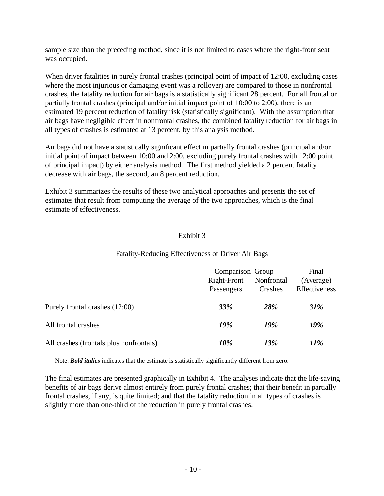sample size than the preceding method, since it is not limited to cases where the right-front seat was occupied.

When driver fatalities in purely frontal crashes (principal point of impact of 12:00, excluding cases where the most injurious or damaging event was a rollover) are compared to those in nonfrontal crashes, the fatality reduction for air bags is a statistically significant 28 percent. For all frontal or partially frontal crashes (principal and/or initial impact point of 10:00 to 2:00), there is an estimated 19 percent reduction of fatality risk (statistically significant). With the assumption that air bags have negligible effect in nonfrontal crashes, the combined fatality reduction for air bags in all types of crashes is estimated at 13 percent, by this analysis method.

Air bags did not have a statistically significant effect in partially frontal crashes (principal and/or initial point of impact between 10:00 and 2:00, excluding purely frontal crashes with 12:00 point of principal impact) by either analysis method. The first method yielded a 2 percent fatality decrease with air bags, the second, an 8 percent reduction.

Exhibit 3 summarizes the results of these two analytical approaches and presents the set of estimates that result from computing the average of the two approaches, which is the final estimate of effectiveness.

## Exhibit 3

#### Fatality-Reducing Effectiveness of Driver Air Bags

|                                         | Comparison Group<br>Right-Front<br>Nonfrontal<br>Crashes<br>Passengers |            | Final<br>(Average)<br>Effectiveness |  |
|-----------------------------------------|------------------------------------------------------------------------|------------|-------------------------------------|--|
| Purely frontal crashes (12:00)          | <b>33%</b>                                                             | <b>28%</b> | <b>31%</b>                          |  |
| All frontal crashes                     | 19%                                                                    | 19%        | 19%                                 |  |
| All crashes (frontals plus nonfrontals) | 10%                                                                    | 13%        | 11%                                 |  |

Note: *Bold italics* indicates that the estimate is statistically significantly different from zero.

The final estimates are presented graphically in Exhibit 4. The analyses indicate that the life-saving benefits of air bags derive almost entirely from purely frontal crashes; that their benefit in partially frontal crashes, if any, is quite limited; and that the fatality reduction in all types of crashes is slightly more than one-third of the reduction in purely frontal crashes.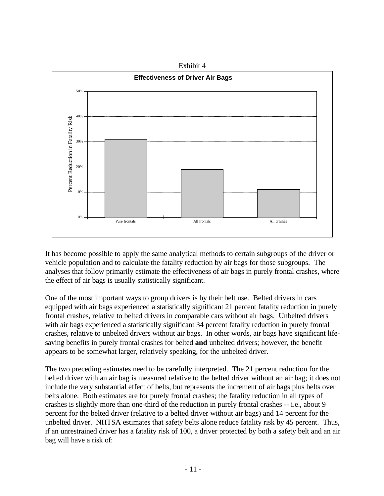

It has become possible to apply the same analytical methods to certain subgroups of the driver or vehicle population and to calculate the fatality reduction by air bags for those subgroups. The analyses that follow primarily estimate the effectiveness of air bags in purely frontal crashes, where the effect of air bags is usually statistically significant.

One of the most important ways to group drivers is by their belt use. Belted drivers in cars equipped with air bags experienced a statistically significant 21 percent fatality reduction in purely frontal crashes, relative to belted drivers in comparable cars without air bags. Unbelted drivers with air bags experienced a statistically significant 34 percent fatality reduction in purely frontal crashes, relative to unbelted drivers without air bags. In other words, air bags have significant lifesaving benefits in purely frontal crashes for belted **and** unbelted drivers; however, the benefit appears to be somewhat larger, relatively speaking, for the unbelted driver.

The two preceding estimates need to be carefully interpreted. The 21 percent reduction for the belted driver with an air bag is measured relative to the belted driver without an air bag; it does not include the very substantial effect of belts, but represents the increment of air bags plus belts over belts alone. Both estimates are for purely frontal crashes; the fatality reduction in all types of crashes is slightly more than one-third of the reduction in purely frontal crashes -- i.e., about 9 percent for the belted driver (relative to a belted driver without air bags) and 14 percent for the unbelted driver. NHTSA estimates that safety belts alone reduce fatality risk by 45 percent. Thus, if an unrestrained driver has a fatality risk of 100, a driver protected by both a safety belt and an air bag will have a risk of: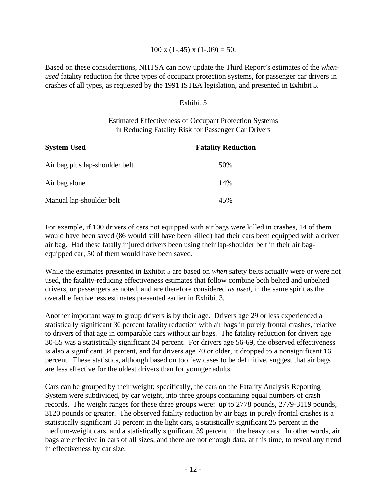#### 100 x  $(1-.45)$  x  $(1-.09) = 50$ .

Based on these considerations, NHTSA can now update the Third Report's estimates of the *whenused* fatality reduction for three types of occupant protection systems, for passenger car drivers in crashes of all types, as requested by the 1991 ISTEA legislation, and presented in Exhibit 5.

#### Exhibit 5

#### Estimated Effectiveness of Occupant Protection Systems in Reducing Fatality Risk for Passenger Car Drivers

| <b>System Used</b>             | <b>Fatality Reduction</b> |  |  |
|--------------------------------|---------------------------|--|--|
| Air bag plus lap-shoulder belt | 50%                       |  |  |
| Air bag alone                  | 14%                       |  |  |
| Manual lap-shoulder belt       | 45%                       |  |  |

For example, if 100 drivers of cars not equipped with air bags were killed in crashes, 14 of them would have been saved (86 would still have been killed) had their cars been equipped with a driver air bag. Had these fatally injured drivers been using their lap-shoulder belt in their air bagequipped car, 50 of them would have been saved.

While the estimates presented in Exhibit 5 are based on *when* safety belts actually were or were not used, the fatality-reducing effectiveness estimates that follow combine both belted and unbelted drivers, or passengers as noted, and are therefore considered *as used*, in the same spirit as the overall effectiveness estimates presented earlier in Exhibit 3.

Another important way to group drivers is by their age. Drivers age 29 or less experienced a statistically significant 30 percent fatality reduction with air bags in purely frontal crashes, relative to drivers of that age in comparable cars without air bags. The fatality reduction for drivers age 30-55 was a statistically significant 34 percent. For drivers age 56-69, the observed effectiveness is also a significant 34 percent, and for drivers age 70 or older, it dropped to a nonsignificant 16 percent. These statistics, although based on too few cases to be definitive, suggest that air bags are less effective for the oldest drivers than for younger adults.

Cars can be grouped by their weight; specifically, the cars on the Fatality Analysis Reporting System were subdivided, by car weight, into three groups containing equal numbers of crash records. The weight ranges for these three groups were: up to 2778 pounds, 2779-3119 pounds, 3120 pounds or greater. The observed fatality reduction by air bags in purely frontal crashes is a statistically significant 31 percent in the light cars, a statistically significant 25 percent in the medium-weight cars, and a statistically significant 39 percent in the heavy cars. In other words, air bags are effective in cars of all sizes, and there are not enough data, at this time, to reveal any trend in effectiveness by car size.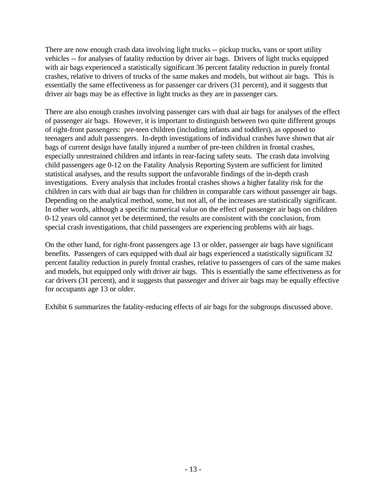There are now enough crash data involving light trucks -- pickup trucks, vans or sport utility vehicles -- for analyses of fatality reduction by driver air bags. Drivers of light trucks equipped with air bags experienced a statistically significant 36 percent fatality reduction in purely frontal crashes, relative to drivers of trucks of the same makes and models, but without air bags. This is essentially the same effectiveness as for passenger car drivers (31 percent), and it suggests that driver air bags may be as effective in light trucks as they are in passenger cars.

There are also enough crashes involving passenger cars with dual air bags for analyses of the effect of passenger air bags. However, it is important to distinguish between two quite different groups of right-front passengers: pre-teen children (including infants and toddlers), as opposed to teenagers and adult passengers. In-depth investigations of individual crashes have shown that air bags of current design have fatally injured a number of pre-teen children in frontal crashes, especially unrestrained children and infants in rear-facing safety seats. The crash data involving child passengers age 0-12 on the Fatality Analysis Reporting System are sufficient for limited statistical analyses, and the results support the unfavorable findings of the in-depth crash investigations. Every analysis that includes frontal crashes shows a higher fatality risk for the children in cars with dual air bags than for children in comparable cars without passenger air bags. Depending on the analytical method, some, but not all, of the increases are statistically significant. In other words, although a specific numerical value on the effect of passenger air bags on children 0-12 years old cannot yet be determined, the results are consistent with the conclusion, from special crash investigations, that child passengers are experiencing problems with air bags.

On the other hand, for right-front passengers age 13 or older, passenger air bags have significant benefits. Passengers of cars equipped with dual air bags experienced a statistically significant 32 percent fatality reduction in purely frontal crashes, relative to passengers of cars of the same makes and models, but equipped only with driver air bags. This is essentially the same effectiveness as for car drivers (31 percent), and it suggests that passenger and driver air bags may be equally effective for occupants age 13 or older.

Exhibit 6 summarizes the fatality-reducing effects of air bags for the subgroups discussed above.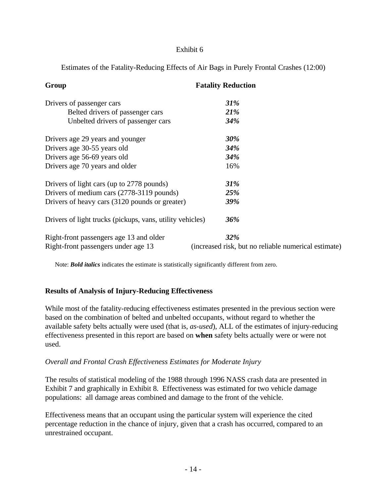#### Exhibit 6

Estimates of the Fatality-Reducing Effects of Air Bags in Purely Frontal Crashes (12:00)

| Group                                                     | <b>Fatality Reduction</b>                            |  |  |  |
|-----------------------------------------------------------|------------------------------------------------------|--|--|--|
| Drivers of passenger cars                                 | 31%                                                  |  |  |  |
| Belted drivers of passenger cars                          | <b>21%</b>                                           |  |  |  |
| Unbelted drivers of passenger cars                        | 34%                                                  |  |  |  |
| Drivers age 29 years and younger                          | 30%                                                  |  |  |  |
| Drivers age 30-55 years old                               | 34%                                                  |  |  |  |
| Drivers age 56-69 years old                               | 34%                                                  |  |  |  |
| Drivers age 70 years and older                            | 16%                                                  |  |  |  |
| Drivers of light cars (up to 2778 pounds)                 | 31%                                                  |  |  |  |
| Drivers of medium cars (2778-3119 pounds)                 | 25%                                                  |  |  |  |
| Drivers of heavy cars (3120 pounds or greater)            | 39%                                                  |  |  |  |
| Drivers of light trucks (pickups, vans, utility vehicles) | 36%                                                  |  |  |  |
| Right-front passengers age 13 and older                   | 32%                                                  |  |  |  |
| Right-front passengers under age 13                       | (increased risk, but no reliable numerical estimate) |  |  |  |

Note: *Bold italics* indicates the estimate is statistically significantly different from zero.

## **Results of Analysis of Injury-Reducing Effectiveness**

While most of the fatality-reducing effectiveness estimates presented in the previous section were based on the combination of belted and unbelted occupants, without regard to whether the available safety belts actually were used (that is, *as-used*), ALL of the estimates of injury-reducing effectiveness presented in this report are based on **when** safety belts actually were or were not used.

## *Overall and Frontal Crash Effectiveness Estimates for Moderate Injury*

The results of statistical modeling of the 1988 through 1996 NASS crash data are presented in Exhibit 7 and graphically in Exhibit 8. Effectiveness was estimated for two vehicle damage populations: all damage areas combined and damage to the front of the vehicle.

Effectiveness means that an occupant using the particular system will experience the cited percentage reduction in the chance of injury, given that a crash has occurred, compared to an unrestrained occupant.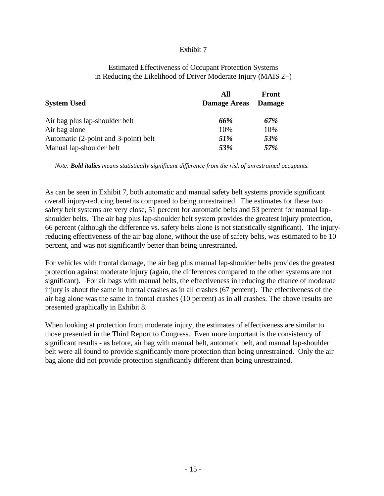#### Exhibit 7

#### Estimated Effectiveness of Occupant Protection Systems in Reducing the Likelihood of Driver Moderate Injury (MAIS 2+)

| <b>System Used</b>                   | All<br><b>Damage Areas</b> | Front<br><b>Damage</b> |
|--------------------------------------|----------------------------|------------------------|
| Air bag plus lap-shoulder belt       | 66%                        | 67%                    |
| Air bag alone                        | 10%                        | 10%                    |
| Automatic (2-point and 3-point) belt | <i>51%</i>                 | 53%                    |
| Manual lap-shoulder belt             | 53%                        | 57%                    |

*Note: Bold italics means statistically significant difference from the risk of unrestrained occupants.*

As can be seen in Exhibit 7, both automatic and manual safety belt systems provide significant overall injury-reducing benefits compared to being unrestrained. The estimates for these two safety belt systems are very close, 51 percent for automatic belts and 53 percent for manual lapshoulder belts. The air bag plus lap-shoulder belt system provides the greatest injury protection, 66 percent (although the difference vs. safety belts alone is not statistically significant). The injuryreducing effectiveness of the air bag alone, without the use of safety belts, was estimated to be 10 percent, and was not significantly better than being unrestrained.

For vehicles with frontal damage, the air bag plus manual lap-shoulder belts provides the greatest protection against moderate injury (again, the differences compared to the other systems are not significant). For air bags with manual belts, the effectiveness in reducing the chance of moderate injury is about the same in frontal crashes as in all crashes (67 percent). The effectiveness of the air bag alone was the same in frontal crashes (10 percent) as in all crashes. The above results are presented graphically in Exhibit 8.

When looking at protection from moderate injury, the estimates of effectiveness are similar to those presented in the Third Report to Congress. Even more important is the consistency of significant results - as before, air bag with manual belt, automatic belt, and manual lap-shoulder belt were all found to provide significantly more protection than being unrestrained. Only the air bag alone did not provide protection significantly different than being unrestrained.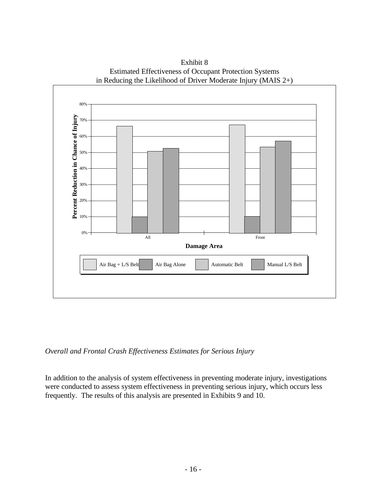

Exhibit 8 Estimated Effectiveness of Occupant Protection Systems in Reducing the Likelihood of Driver Moderate Injury (MAIS 2+)

*Overall and Frontal Crash Effectiveness Estimates for Serious Injury*

In addition to the analysis of system effectiveness in preventing moderate injury, investigations were conducted to assess system effectiveness in preventing serious injury, which occurs less frequently. The results of this analysis are presented in Exhibits 9 and 10.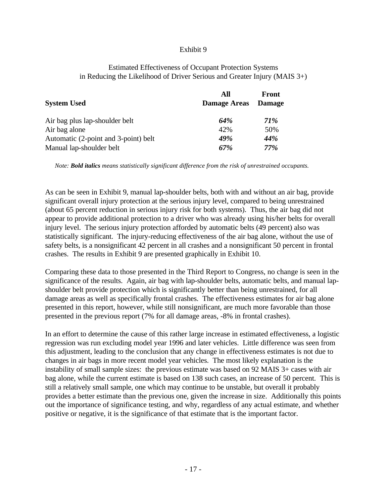#### Exhibit 9

#### Estimated Effectiveness of Occupant Protection Systems in Reducing the Likelihood of Driver Serious and Greater Injury (MAIS 3+)

| <b>System Used</b>                   | All<br><b>Damage Areas</b> | <b>Front</b><br><b>Damage</b> |
|--------------------------------------|----------------------------|-------------------------------|
| Air bag plus lap-shoulder belt       | 64%                        | <b>71%</b>                    |
| Air bag alone                        | 42%                        | 50%                           |
| Automatic (2-point and 3-point) belt | 49%                        | 44%                           |
| Manual lap-shoulder belt             | 67%                        | 77%                           |

*Note: Bold italics means statistically significant difference from the risk of unrestrained occupants.*

As can be seen in Exhibit 9, manual lap-shoulder belts, both with and without an air bag, provide significant overall injury protection at the serious injury level, compared to being unrestrained (about 65 percent reduction in serious injury risk for both systems). Thus, the air bag did not appear to provide additional protection to a driver who was already using his/her belts for overall injury level. The serious injury protection afforded by automatic belts (49 percent) also was statistically significant. The injury-reducing effectiveness of the air bag alone, without the use of safety belts, is a nonsignificant 42 percent in all crashes and a nonsignificant 50 percent in frontal crashes. The results in Exhibit 9 are presented graphically in Exhibit 10.

Comparing these data to those presented in the Third Report to Congress, no change is seen in the significance of the results. Again, air bag with lap-shoulder belts, automatic belts, and manual lapshoulder belt provide protection which is significantly better than being unrestrained, for all damage areas as well as specifically frontal crashes. The effectiveness estimates for air bag alone presented in this report, however, while still nonsignificant, are much more favorable than those presented in the previous report (7% for all damage areas, -8% in frontal crashes).

In an effort to determine the cause of this rather large increase in estimated effectiveness, a logistic regression was run excluding model year 1996 and later vehicles. Little difference was seen from this adjustment, leading to the conclusion that any change in effectiveness estimates is not due to changes in air bags in more recent model year vehicles. The most likely explanation is the instability of small sample sizes: the previous estimate was based on 92 MAIS 3+ cases with air bag alone, while the current estimate is based on 138 such cases, an increase of 50 percent. This is still a relatively small sample, one which may continue to be unstable, but overall it probably provides a better estimate than the previous one, given the increase in size. Additionally this points out the importance of significance testing, and why, regardless of any actual estimate, and whether positive or negative, it is the significance of that estimate that is the important factor.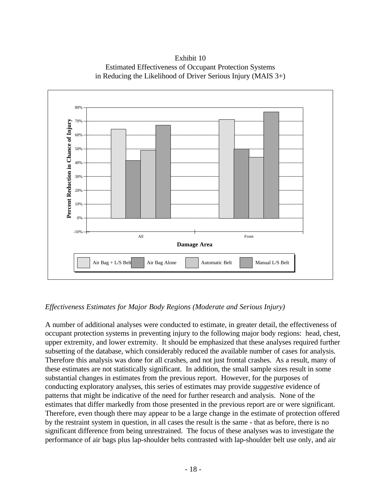Exhibit 10 Estimated Effectiveness of Occupant Protection Systems in Reducing the Likelihood of Driver Serious Injury (MAIS 3+)



## *Effectiveness Estimates for Major Body Regions (Moderate and Serious Injury)*

A number of additional analyses were conducted to estimate, in greater detail, the effectiveness of occupant protection systems in preventing injury to the following major body regions: head, chest, upper extremity, and lower extremity. It should be emphasized that these analyses required further subsetting of the database, which considerably reduced the available number of cases for analysis. Therefore this analysis was done for all crashes, and not just frontal crashes. As a result, many of these estimates are not statistically significant. In addition, the small sample sizes result in some substantial changes in estimates from the previous report. However, for the purposes of conducting exploratory analyses, this series of estimates may provide *suggestive* evidence of patterns that might be indicative of the need for further research and analysis. None of the estimates that differ markedly from those presented in the previous report are or were significant. Therefore, even though there may appear to be a large change in the estimate of protection offered by the restraint system in question, in all cases the result is the same - that as before, there is no significant difference from being unrestrained. The focus of these analyses was to investigate the performance of air bags plus lap-shoulder belts contrasted with lap-shoulder belt use only, and air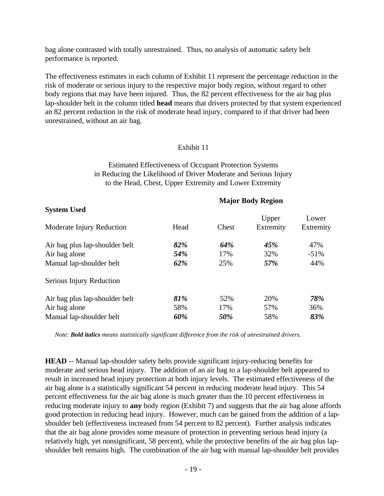bag alone contrasted with totally unrestrained. Thus, no analysis of automatic safety belt performance is reported.

The effectiveness estimates in each column of Exhibit 11 represent the percentage reduction in the risk of moderate or serious injury to the respective major body region, without regard to other body regions that may have been injured. Thus, the 82 percent effectiveness for the air bag plus lap-shoulder belt in the column titled **head** means that drivers protected by that system experienced an 82 percent reduction in the risk of moderate head injury, compared to if that driver had been unrestrained, without an air bag.

#### Exhibit 11

Estimated Effectiveness of Occupant Protection Systems in Reducing the Likelihood of Driver Moderate and Serious Injury to the Head, Chest, Upper Extremity and Lower Extremity

## **Major Body Region System Used** Upper Lower Moderate Injury Reduction Head Chest Extremity Extremity Air bag plus lap-shoulder belt *82% 64% 45%* 47% Air bag alone **54%** 17% 32% -51% Manual lap-shoulder belt *62%* 25% *57%* 44% Serious Injury Reduction Air bag plus lap-shoulder belt *81%* 52% 20% *78%* Air bag alone 58% 17% 57% 36%

*Note: Bold italics means statistically significant difference from the risk of unrestrained drivers*.

Manual lap-shoulder belt *60% 50%* 58% *83%*

**HEAD** -- Manual lap-shoulder safety belts provide significant injury-reducing benefits for moderate and serious head injury. The addition of an air bag to a lap-shoulder belt appeared to result in increased head injury protection at both injury levels. The estimated effectiveness of the air bag alone is a statistically significant 54 percent in reducing moderate head injury. This 54 percent effectiveness for the air bag alone is much greater than the 10 percent effectiveness in reducing moderate injury to **any** body region (Exhibit 7) and suggests that the air bag alone affords good protection in reducing head injury. However, much can be gained from the addition of a lapshoulder belt (effectiveness increased from 54 percent to 82 percent). Further analysis indicates that the air bag alone provides some measure of protection in preventing serious head injury (a relatively high, yet nonsignificant, 58 percent), while the protective benefits of the air bag plus lapshoulder belt remains high. The combination of the air bag with manual lap-shoulder belt provides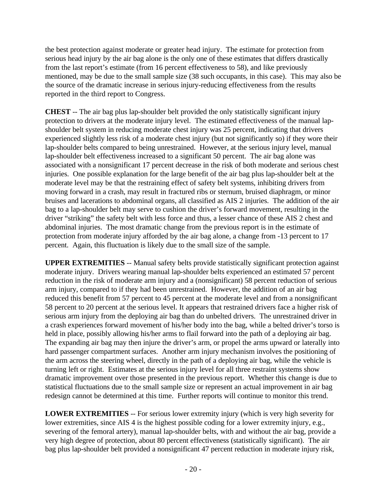the best protection against moderate or greater head injury. The estimate for protection from serious head injury by the air bag alone is the only one of these estimates that differs drastically from the last report's estimate (from 16 percent effectiveness to 58), and like previously mentioned, may be due to the small sample size (38 such occupants, in this case). This may also be the source of the dramatic increase in serious injury-reducing effectiveness from the results reported in the third report to Congress.

**CHEST** -- The air bag plus lap-shoulder belt provided the only statistically significant injury protection to drivers at the moderate injury level. The estimated effectiveness of the manual lapshoulder belt system in reducing moderate chest injury was 25 percent, indicating that drivers experienced slightly less risk of a moderate chest injury (but not significantly so) if they wore their lap-shoulder belts compared to being unrestrained. However, at the serious injury level, manual lap-shoulder belt effectiveness increased to a significant 50 percent. The air bag alone was associated with a nonsignificant 17 percent decrease in the risk of both moderate and serious chest injuries. One possible explanation for the large benefit of the air bag plus lap-shoulder belt at the moderate level may be that the restraining effect of safety belt systems, inhibiting drivers from moving forward in a crash, may result in fractured ribs or sternum, bruised diaphragm, or minor bruises and lacerations to abdominal organs, all classified as AIS 2 injuries. The addition of the air bag to a lap-shoulder belt may serve to cushion the driver's forward movement, resulting in the driver "striking" the safety belt with less force and thus, a lesser chance of these AIS 2 chest and abdominal injuries. The most dramatic change from the previous report is in the estimate of protection from moderate injury afforded by the air bag alone, a change from -13 percent to 17 percent. Again, this fluctuation is likely due to the small size of the sample.

**UPPER EXTREMITIES** -- Manual safety belts provide statistically significant protection against moderate injury. Drivers wearing manual lap-shoulder belts experienced an estimated 57 percent reduction in the risk of moderate arm injury and a (nonsignificant) 58 percent reduction of serious arm injury, compared to if they had been unrestrained. However, the addition of an air bag reduced this benefit from 57 percent to 45 percent at the moderate level and from a nonsignificant 58 percent to 20 percent at the serious level. It appears that restrained drivers face a higher risk of serious arm injury from the deploying air bag than do unbelted drivers. The unrestrained driver in a crash experiences forward movement of his/her body into the bag, while a belted driver's torso is held in place, possibly allowing his/her arms to flail forward into the path of a deploying air bag. The expanding air bag may then injure the driver's arm, or propel the arms upward or laterally into hard passenger compartment surfaces. Another arm injury mechanism involves the positioning of the arm across the steering wheel, directly in the path of a deploying air bag, while the vehicle is turning left or right. Estimates at the serious injury level for all three restraint systems show dramatic improvement over those presented in the previous report. Whether this change is due to statistical fluctuations due to the small sample size or represent an actual improvement in air bag redesign cannot be determined at this time. Further reports will continue to monitor this trend.

**LOWER EXTREMITIES** -- For serious lower extremity injury (which is very high severity for lower extremities, since AIS 4 is the highest possible coding for a lower extremity injury, e.g., severing of the femoral artery), manual lap-shoulder belts, with and without the air bag, provide a very high degree of protection, about 80 percent effectiveness (statistically significant). The air bag plus lap-shoulder belt provided a nonsignificant 47 percent reduction in moderate injury risk,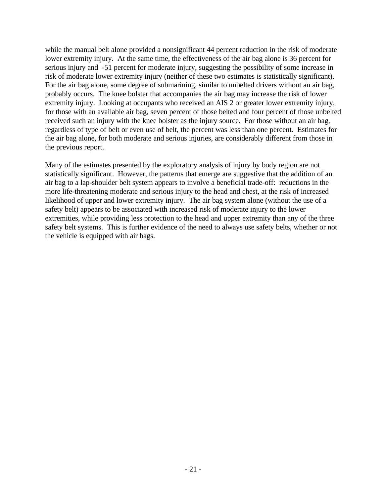while the manual belt alone provided a nonsignificant 44 percent reduction in the risk of moderate lower extremity injury. At the same time, the effectiveness of the air bag alone is 36 percent for serious injury and -51 percent for moderate injury, suggesting the possibility of some increase in risk of moderate lower extremity injury (neither of these two estimates is statistically significant). For the air bag alone, some degree of submarining, similar to unbelted drivers without an air bag, probably occurs. The knee bolster that accompanies the air bag may increase the risk of lower extremity injury. Looking at occupants who received an AIS 2 or greater lower extremity injury, for those with an available air bag, seven percent of those belted and four percent of those unbelted received such an injury with the knee bolster as the injury source. For those without an air bag, regardless of type of belt or even use of belt, the percent was less than one percent. Estimates for the air bag alone, for both moderate and serious injuries, are considerably different from those in the previous report.

Many of the estimates presented by the exploratory analysis of injury by body region are not statistically significant. However, the patterns that emerge are suggestive that the addition of an air bag to a lap-shoulder belt system appears to involve a beneficial trade-off: reductions in the more life-threatening moderate and serious injury to the head and chest, at the risk of increased likelihood of upper and lower extremity injury. The air bag system alone (without the use of a safety belt) appears to be associated with increased risk of moderate injury to the lower extremities, while providing less protection to the head and upper extremity than any of the three safety belt systems. This is further evidence of the need to always use safety belts, whether or not the vehicle is equipped with air bags.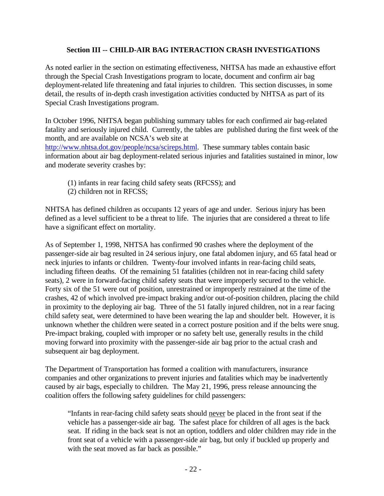## **Section III -- CHILD-AIR BAG INTERACTION CRASH INVESTIGATIONS**

As noted earlier in the section on estimating effectiveness, NHTSA has made an exhaustive effort through the Special Crash Investigations program to locate, document and confirm air bag deployment-related life threatening and fatal injuries to children. This section discusses, in some detail, the results of in-depth crash investigation activities conducted by NHTSA as part of its Special Crash Investigations program.

In October 1996, NHTSA began publishing summary tables for each confirmed air bag-related fatality and seriously injured child. Currently, the tables are published during the first week of the month, and are available on NCSA's web site at

http://www.nhtsa.dot.gov/people/ncsa/scireps.html. These summary tables contain basic information about air bag deployment-related serious injuries and fatalities sustained in minor, low and moderate severity crashes by:

- (1) infants in rear facing child safety seats (RFCSS); and
- (2) children not in RFCSS;

NHTSA has defined children as occupants 12 years of age and under. Serious injury has been defined as a level sufficient to be a threat to life. The injuries that are considered a threat to life have a significant effect on mortality.

As of September 1, 1998, NHTSA has confirmed 90 crashes where the deployment of the passenger-side air bag resulted in 24 serious injury, one fatal abdomen injury, and 65 fatal head or neck injuries to infants or children. Twenty-four involved infants in rear-facing child seats, including fifteen deaths. Of the remaining 51 fatalities (children not in rear-facing child safety seats), 2 were in forward-facing child safety seats that were improperly secured to the vehicle. Forty six of the 51 were out of position, unrestrained or improperly restrained at the time of the crashes, 42 of which involved pre-impact braking and/or out-of-position children, placing the child in proximity to the deploying air bag. Three of the 51 fatally injured children, not in a rear facing child safety seat, were determined to have been wearing the lap and shoulder belt. However, it is unknown whether the children were seated in a correct posture position and if the belts were snug. Pre-impact braking, coupled with improper or no safety belt use, generally results in the child moving forward into proximity with the passenger-side air bag prior to the actual crash and subsequent air bag deployment.

The Department of Transportation has formed a coalition with manufacturers, insurance companies and other organizations to prevent injuries and fatalities which may be inadvertently caused by air bags, especially to children. The May 21, 1996, press release announcing the coalition offers the following safety guidelines for child passengers:

"Infants in rear-facing child safety seats should never be placed in the front seat if the vehicle has a passenger-side air bag. The safest place for children of all ages is the back seat. If riding in the back seat is not an option, toddlers and older children may ride in the front seat of a vehicle with a passenger-side air bag, but only if buckled up properly and with the seat moved as far back as possible."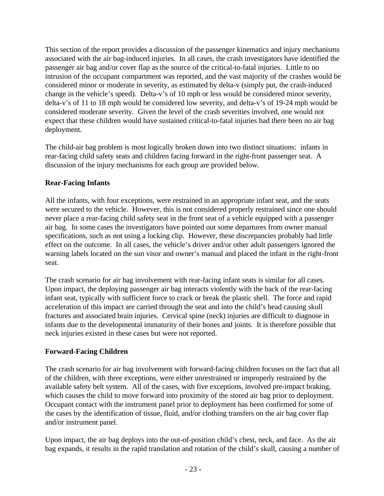This section of the report provides a discussion of the passenger kinematics and injury mechanisms associated with the air bag-induced injuries. In all cases, the crash investigators have identified the passenger air bag and/or cover flap as the source of the critical-to-fatal injuries. Little to no intrusion of the occupant compartment was reported, and the vast majority of the crashes would be considered minor or moderate in severity, as estimated by delta-v (simply put, the crash-induced change in the vehicle's speed). Delta-v's of 10 mph or less would be considered minor severity, delta-v's of 11 to 18 mph would be considered low severity, and delta-v's of 19-24 mph would be considered moderate severity. Given the level of the crash severities involved, one would not expect that these children would have sustained critical-to-fatal injuries had there been no air bag deployment.

The child-air bag problem is most logically broken down into two distinct situations: infants in rear-facing child safety seats and children facing forward in the right-front passenger seat. A discussion of the injury mechanisms for each group are provided below.

## **Rear-Facing Infants**

All the infants, with four exceptions, were restrained in an appropriate infant seat, and the seats were secured to the vehicle. However, this is not considered properly restrained since one should never place a rear-facing child safety seat in the front seat of a vehicle equipped with a passenger air bag. In some cases the investigators have pointed out some departures from owner manual specifications, such as not using a locking clip. However, these discrepancies probably had little effect on the outcome. In all cases, the vehicle's driver and/or other adult passengers ignored the warning labels located on the sun visor and owner's manual and placed the infant in the right-front seat.

The crash scenario for air bag involvement with rear-facing infant seats is similar for all cases. Upon impact, the deploying passenger air bag interacts violently with the back of the rear-facing infant seat, typically with sufficient force to crack or break the plastic shell. The force and rapid acceleration of this impact are carried through the seat and into the child's head causing skull fractures and associated brain injuries. Cervical spine (neck) injuries are difficult to diagnose in infants due to the developmental immaturity of their bones and joints. It is therefore possible that neck injuries existed in these cases but were not reported.

## **Forward-Facing Children**

The crash scenario for air bag involvement with forward-facing children focuses on the fact that all of the children, with three exceptions, were either unrestrained or improperly restrained by the available safety belt system. All of the cases, with five exceptions, involved pre-impact braking, which causes the child to move forward into proximity of the stored air bag prior to deployment. Occupant contact with the instrument panel prior to deployment has been confirmed for some of the cases by the identification of tissue, fluid, and/or clothing transfers on the air bag cover flap and/or instrument panel.

Upon impact, the air bag deploys into the out-of-position child's chest, neck, and face. As the air bag expands, it results in the rapid translation and rotation of the child's skull, causing a number of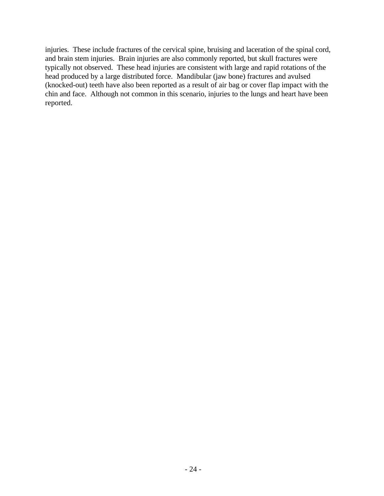injuries. These include fractures of the cervical spine, bruising and laceration of the spinal cord, and brain stem injuries. Brain injuries are also commonly reported, but skull fractures were typically not observed. These head injuries are consistent with large and rapid rotations of the head produced by a large distributed force. Mandibular (jaw bone) fractures and avulsed (knocked-out) teeth have also been reported as a result of air bag or cover flap impact with the chin and face. Although not common in this scenario, injuries to the lungs and heart have been reported.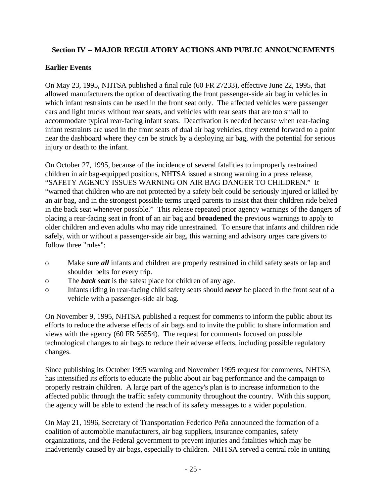## **Section IV -- MAJOR REGULATORY ACTIONS AND PUBLIC ANNOUNCEMENTS**

## **Earlier Events**

On May 23, 1995, NHTSA published a final rule (60 FR 27233), effective June 22, 1995, that allowed manufacturers the option of deactivating the front passenger-side air bag in vehicles in which infant restraints can be used in the front seat only. The affected vehicles were passenger cars and light trucks without rear seats, and vehicles with rear seats that are too small to accommodate typical rear-facing infant seats. Deactivation is needed because when rear-facing infant restraints are used in the front seats of dual air bag vehicles, they extend forward to a point near the dashboard where they can be struck by a deploying air bag, with the potential for serious injury or death to the infant.

On October 27, 1995, because of the incidence of several fatalities to improperly restrained children in air bag-equipped positions, NHTSA issued a strong warning in a press release, "SAFETY AGENCY ISSUES WARNING ON AIR BAG DANGER TO CHILDREN." It "warned that children who are not protected by a safety belt could be seriously injured or killed by an air bag, and in the strongest possible terms urged parents to insist that their children ride belted in the back seat whenever possible." This release repeated prior agency warnings of the dangers of placing a rear-facing seat in front of an air bag and **broadened** the previous warnings to apply to older children and even adults who may ride unrestrained. To ensure that infants and children ride safely, with or without a passenger-side air bag, this warning and advisory urges care givers to follow three "rules":

- o Make sure *all* infants and children are properly restrained in child safety seats or lap and shoulder belts for every trip.
- o The *back seat* is the safest place for children of any age.
- o Infants riding in rear-facing child safety seats should *never* be placed in the front seat of a vehicle with a passenger-side air bag.

On November 9, 1995, NHTSA published a request for comments to inform the public about its efforts to reduce the adverse effects of air bags and to invite the public to share information and views with the agency (60 FR 56554). The request for comments focused on possible technological changes to air bags to reduce their adverse effects, including possible regulatory changes.

Since publishing its October 1995 warning and November 1995 request for comments, NHTSA has intensified its efforts to educate the public about air bag performance and the campaign to properly restrain children. A large part of the agency's plan is to increase information to the affected public through the traffic safety community throughout the country. With this support, the agency will be able to extend the reach of its safety messages to a wider population.

On May 21, 1996, Secretary of Transportation Federico Peña announced the formation of a coalition of automobile manufacturers, air bag suppliers, insurance companies, safety organizations, and the Federal government to prevent injuries and fatalities which may be inadvertently caused by air bags, especially to children. NHTSA served a central role in uniting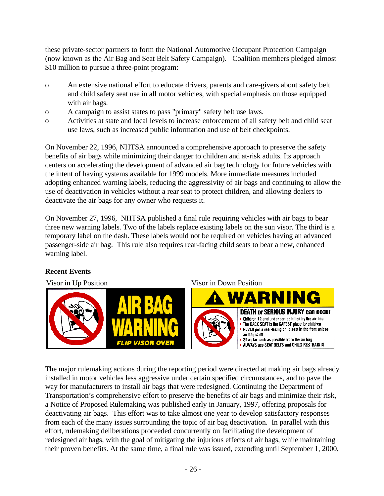these private-sector partners to form the National Automotive Occupant Protection Campaign (now known as the Air Bag and Seat Belt Safety Campaign). Coalition members pledged almost \$10 million to pursue a three-point program:

- o An extensive national effort to educate drivers, parents and care-givers about safety belt and child safety seat use in all motor vehicles, with special emphasis on those equipped with air bags.
- o A campaign to assist states to pass "primary" safety belt use laws.
- o Activities at state and local levels to increase enforcement of all safety belt and child seat use laws, such as increased public information and use of belt checkpoints.

On November 22, 1996, NHTSA announced a comprehensive approach to preserve the safety benefits of air bags while minimizing their danger to children and at-risk adults. Its approach centers on accelerating the development of advanced air bag technology for future vehicles with the intent of having systems available for 1999 models. More immediate measures included adopting enhanced warning labels, reducing the aggressivity of air bags and continuing to allow the use of deactivation in vehicles without a rear seat to protect children, and allowing dealers to deactivate the air bags for any owner who requests it.

On November 27, 1996, NHTSA published a final rule requiring vehicles with air bags to bear three new warning labels. Two of the labels replace existing labels on the sun visor. The third is a temporary label on the dash. These labels would not be required on vehicles having an advanced passenger-side air bag. This rule also requires rear-facing child seats to bear a new, enhanced warning label.

## **Recent Events**



The major rulemaking actions during the reporting period were directed at making air bags already installed in motor vehicles less aggressive under certain specified circumstances, and to pave the way for manufacturers to install air bags that were redesigned. Continuing the Department of Transportation's comprehensive effort to preserve the benefits of air bags and minimize their risk, a Notice of Proposed Rulemaking was published early in January, 1997, offering proposals for deactivating air bags. This effort was to take almost one year to develop satisfactory responses from each of the many issues surrounding the topic of air bag deactivation. In parallel with this effort, rulemaking deliberations proceeded concurrently on facilitating the development of redesigned air bags, with the goal of mitigating the injurious effects of air bags, while maintaining their proven benefits. At the same time, a final rule was issued, extending until September 1, 2000,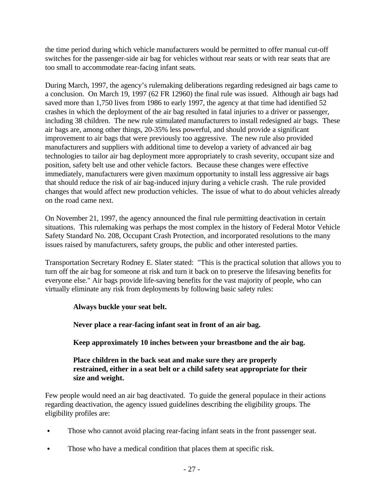the time period during which vehicle manufacturers would be permitted to offer manual cut-off switches for the passenger-side air bag for vehicles without rear seats or with rear seats that are too small to accommodate rear-facing infant seats.

During March, 1997, the agency's rulemaking deliberations regarding redesigned air bags came to a conclusion. On March 19, 1997 (62 FR 12960) the final rule was issued. Although air bags had saved more than 1,750 lives from 1986 to early 1997, the agency at that time had identified 52 crashes in which the deployment of the air bag resulted in fatal injuries to a driver or passenger, including 38 children. The new rule stimulated manufacturers to install redesigned air bags. These air bags are, among other things, 20-35% less powerful, and should provide a significant improvement to air bags that were previously too aggressive. The new rule also provided manufacturers and suppliers with additional time to develop a variety of advanced air bag technologies to tailor air bag deployment more appropriately to crash severity, occupant size and position, safety belt use and other vehicle factors. Because these changes were effective immediately, manufacturers were given maximum opportunity to install less aggressive air bags that should reduce the risk of air bag-induced injury during a vehicle crash. The rule provided changes that would affect new production vehicles. The issue of what to do about vehicles already on the road came next.

On November 21, 1997, the agency announced the final rule permitting deactivation in certain situations. This rulemaking was perhaps the most complex in the history of Federal Motor Vehicle Safety Standard No. 208, Occupant Crash Protection, and incorporated resolutions to the many issues raised by manufacturers, safety groups, the public and other interested parties.

Transportation Secretary Rodney E. Slater stated: "This is the practical solution that allows you to turn off the air bag for someone at risk and turn it back on to preserve the lifesaving benefits for everyone else." Air bags provide life-saving benefits for the vast majority of people, who can virtually eliminate any risk from deployments by following basic safety rules:

## **Always buckle your seat belt.**

**Never place a rear-facing infant seat in front of an air bag.** 

**Keep approximately 10 inches between your breastbone and the air bag.** 

## **Place children in the back seat and make sure they are properly restrained, either in a seat belt or a child safety seat appropriate for their size and weight.**

Few people would need an air bag deactivated. To guide the general populace in their actions regarding deactivation, the agency issued guidelines describing the eligibility groups. The eligibility profiles are:

- Those who cannot avoid placing rear-facing infant seats in the front passenger seat.
- Those who have a medical condition that places them at specific risk.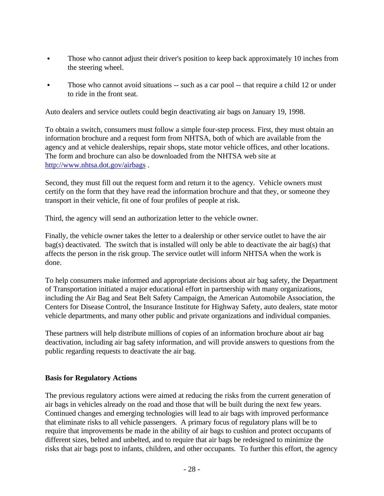- Those who cannot adjust their driver's position to keep back approximately 10 inches from the steering wheel.
- Those who cannot avoid situations -- such as a car pool -- that require a child 12 or under to ride in the front seat.

Auto dealers and service outlets could begin deactivating air bags on January 19, 1998.

To obtain a switch, consumers must follow a simple four-step process. First, they must obtain an information brochure and a request form from NHTSA, both of which are available from the agency and at vehicle dealerships, repair shops, state motor vehicle offices, and other locations. The form and brochure can also be downloaded from the NHTSA web site at http://www.nhtsa.dot.gov/airbags .

Second, they must fill out the request form and return it to the agency. Vehicle owners must certify on the form that they have read the information brochure and that they, or someone they transport in their vehicle, fit one of four profiles of people at risk.

Third, the agency will send an authorization letter to the vehicle owner.

Finally, the vehicle owner takes the letter to a dealership or other service outlet to have the air bag(s) deactivated. The switch that is installed will only be able to deactivate the air bag(s) that affects the person in the risk group. The service outlet will inform NHTSA when the work is done.

To help consumers make informed and appropriate decisions about air bag safety, the Department of Transportation initiated a major educational effort in partnership with many organizations, including the Air Bag and Seat Belt Safety Campaign, the American Automobile Association, the Centers for Disease Control, the Insurance Institute for Highway Safety, auto dealers, state motor vehicle departments, and many other public and private organizations and individual companies.

These partners will help distribute millions of copies of an information brochure about air bag deactivation, including air bag safety information, and will provide answers to questions from the public regarding requests to deactivate the air bag.

## **Basis for Regulatory Actions**

The previous regulatory actions were aimed at reducing the risks from the current generation of air bags in vehicles already on the road and those that will be built during the next few years. Continued changes and emerging technologies will lead to air bags with improved performance that eliminate risks to all vehicle passengers. A primary focus of regulatory plans will be to require that improvements be made in the ability of air bags to cushion and protect occupants of different sizes, belted and unbelted, and to require that air bags be redesigned to minimize the risks that air bags post to infants, children, and other occupants. To further this effort, the agency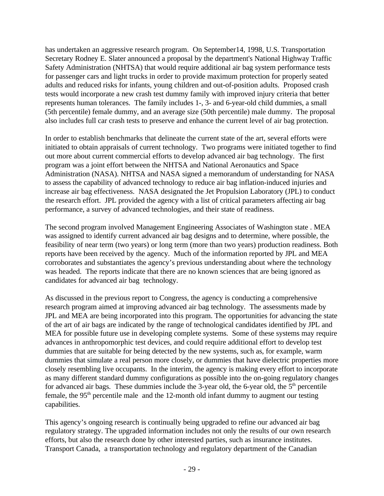has undertaken an aggressive research program. On September14, 1998, U.S. Transportation Secretary Rodney E. Slater announced a proposal by the department's National Highway Traffic Safety Administration (NHTSA) that would require additional air bag system performance tests for passenger cars and light trucks in order to provide maximum protection for properly seated adults and reduced risks for infants, young children and out-of-position adults. Proposed crash tests would incorporate a new crash test dummy family with improved injury criteria that better represents human tolerances. The family includes 1-, 3- and 6-year-old child dummies, a small (5th percentile) female dummy, and an average size (50th percentile) male dummy. The proposal also includes full car crash tests to preserve and enhance the current level of air bag protection.

In order to establish benchmarks that delineate the current state of the art, several efforts were initiated to obtain appraisals of current technology. Two programs were initiated together to find out more about current commercial efforts to develop advanced air bag technology. The first program was a joint effort between the NHTSA and National Aeronautics and Space Administration (NASA). NHTSA and NASA signed a memorandum of understanding for NASA to assess the capability of advanced technology to reduce air bag inflation-induced injuries and increase air bag effectiveness. NASA designated the Jet Propulsion Laboratory (JPL) to conduct the research effort. JPL provided the agency with a list of critical parameters affecting air bag performance, a survey of advanced technologies, and their state of readiness.

The second program involved Management Engineering Associates of Washington state . MEA was assigned to identify current advanced air bag designs and to determine, where possible, the feasibility of near term (two years) or long term (more than two years) production readiness. Both reports have been received by the agency. Much of the information reported by JPL and MEA corroborates and substantiates the agency's previous understanding about where the technology was headed. The reports indicate that there are no known sciences that are being ignored as candidates for advanced air bag technology.

As discussed in the previous report to Congress, the agency is conducting a comprehensive research program aimed at improving advanced air bag technology. The assessments made by JPL and MEA are being incorporated into this program. The opportunities for advancing the state of the art of air bags are indicated by the range of technological candidates identified by JPL and MEA for possible future use in developing complete systems. Some of these systems may require advances in anthropomorphic test devices, and could require additional effort to develop test dummies that are suitable for being detected by the new systems, such as, for example, warm dummies that simulate a real person more closely, or dummies that have dielectric properties more closely resembling live occupants. In the interim, the agency is making every effort to incorporate as many different standard dummy configurations as possible into the on-going regulatory changes for advanced air bags. These dummies include the 3-year old, the 6-year old, the  $5<sup>th</sup>$  percentile female, the  $95<sup>th</sup>$  percentile male and the 12-month old infant dummy to augment our testing capabilities.

This agency's ongoing research is continually being upgraded to refine our advanced air bag regulatory strategy. The upgraded information includes not only the results of our own research efforts, but also the research done by other interested parties, such as insurance institutes. Transport Canada, a transportation technology and regulatory department of the Canadian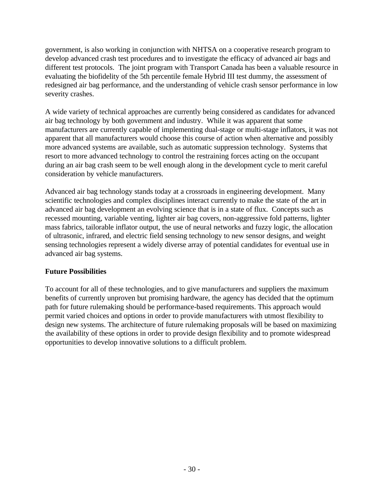government, is also working in conjunction with NHTSA on a cooperative research program to develop advanced crash test procedures and to investigate the efficacy of advanced air bags and different test protocols. The joint program with Transport Canada has been a valuable resource in evaluating the biofidelity of the 5th percentile female Hybrid III test dummy, the assessment of redesigned air bag performance, and the understanding of vehicle crash sensor performance in low severity crashes.

A wide variety of technical approaches are currently being considered as candidates for advanced air bag technology by both government and industry. While it was apparent that some manufacturers are currently capable of implementing dual-stage or multi-stage inflators, it was not apparent that all manufacturers would choose this course of action when alternative and possibly more advanced systems are available, such as automatic suppression technology. Systems that resort to more advanced technology to control the restraining forces acting on the occupant during an air bag crash seem to be well enough along in the development cycle to merit careful consideration by vehicle manufacturers.

Advanced air bag technology stands today at a crossroads in engineering development. Many scientific technologies and complex disciplines interact currently to make the state of the art in advanced air bag development an evolving science that is in a state of flux. Concepts such as recessed mounting, variable venting, lighter air bag covers, non-aggressive fold patterns, lighter mass fabrics, tailorable inflator output, the use of neural networks and fuzzy logic, the allocation of ultrasonic, infrared, and electric field sensing technology to new sensor designs, and weight sensing technologies represent a widely diverse array of potential candidates for eventual use in advanced air bag systems.

## **Future Possibilities**

To account for all of these technologies, and to give manufacturers and suppliers the maximum benefits of currently unproven but promising hardware, the agency has decided that the optimum path for future rulemaking should be performance-based requirements. This approach would permit varied choices and options in order to provide manufacturers with utmost flexibility to design new systems. The architecture of future rulemaking proposals will be based on maximizing the availability of these options in order to provide design flexibility and to promote widespread opportunities to develop innovative solutions to a difficult problem.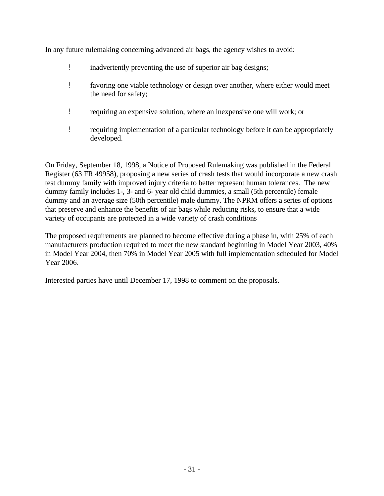In any future rulemaking concerning advanced air bags, the agency wishes to avoid:

- ! inadvertently preventing the use of superior air bag designs;
- ! favoring one viable technology or design over another, where either would meet the need for safety;
- ! requiring an expensive solution, where an inexpensive one will work; or
- ! requiring implementation of a particular technology before it can be appropriately developed.

On Friday, September 18, 1998, a Notice of Proposed Rulemaking was published in the Federal Register (63 FR 49958), proposing a new series of crash tests that would incorporate a new crash test dummy family with improved injury criteria to better represent human tolerances. The new dummy family includes 1-, 3- and 6- year old child dummies, a small (5th percentile) female dummy and an average size (50th percentile) male dummy. The NPRM offers a series of options that preserve and enhance the benefits of air bags while reducing risks, to ensure that a wide variety of occupants are protected in a wide variety of crash conditions

The proposed requirements are planned to become effective during a phase in, with 25% of each manufacturers production required to meet the new standard beginning in Model Year 2003, 40% in Model Year 2004, then 70% in Model Year 2005 with full implementation scheduled for Model Year 2006.

Interested parties have until December 17, 1998 to comment on the proposals.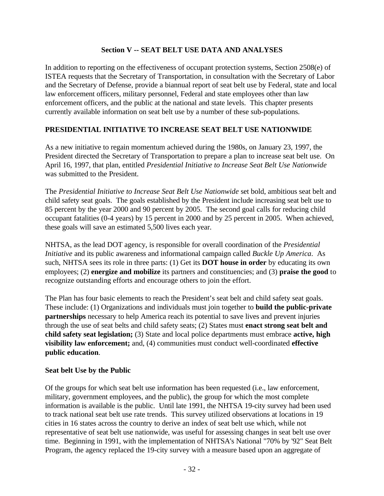## **Section V -- SEAT BELT USE DATA AND ANALYSES**

In addition to reporting on the effectiveness of occupant protection systems, Section 2508(e) of ISTEA requests that the Secretary of Transportation, in consultation with the Secretary of Labor and the Secretary of Defense, provide a biannual report of seat belt use by Federal, state and local law enforcement officers, military personnel, Federal and state employees other than law enforcement officers, and the public at the national and state levels. This chapter presents currently available information on seat belt use by a number of these sub-populations.

## **PRESIDENTIAL INITIATIVE TO INCREASE SEAT BELT USE NATIONWIDE**

As a new initiative to regain momentum achieved during the 1980s, on January 23, 1997, the President directed the Secretary of Transportation to prepare a plan to increase seat belt use. On April 16, 1997, that plan, entitled *Presidential Initiative to Increase Seat Belt Use Nationwide* was submitted to the President.

The *Presidential Initiative to Increase Seat Belt Use Nationwide* set bold, ambitious seat belt and child safety seat goals. The goals established by the President include increasing seat belt use to 85 percent by the year 2000 and 90 percent by 2005. The second goal calls for reducing child occupant fatalities (0-4 years) by 15 percent in 2000 and by 25 percent in 2005. When achieved, these goals will save an estimated 5,500 lives each year.

NHTSA, as the lead DOT agency, is responsible for overall coordination of the *Presidential Initiative* and its public awareness and informational campaign called *Buckle Up America*. As such, NHTSA sees its role in three parts: (1) Get its **DOT house in order** by educating its own employees; (2) **energize and mobilize** its partners and constituencies; and (3) **praise the good** to recognize outstanding efforts and encourage others to join the effort.

The Plan has four basic elements to reach the President's seat belt and child safety seat goals. These include: (1) Organizations and individuals must join together to **build the public-private partnerships** necessary to help America reach its potential to save lives and prevent injuries through the use of seat belts and child safety seats; (2) States must **enact strong seat belt and child safety seat legislation;** (3) State and local police departments must embrace **active, high visibility law enforcement;** and, (4) communities must conduct well-coordinated **effective public education**.

## **Seat belt Use by the Public**

Of the groups for which seat belt use information has been requested (i.e., law enforcement, military, government employees, and the public), the group for which the most complete information is available is the public. Until late 1991, the NHTSA 19-city survey had been used to track national seat belt use rate trends. This survey utilized observations at locations in 19 cities in 16 states across the country to derive an index of seat belt use which, while not representative of seat belt use nationwide, was useful for assessing changes in seat belt use over time. Beginning in 1991, with the implementation of NHTSA's National "70% by '92" Seat Belt Program, the agency replaced the 19-city survey with a measure based upon an aggregate of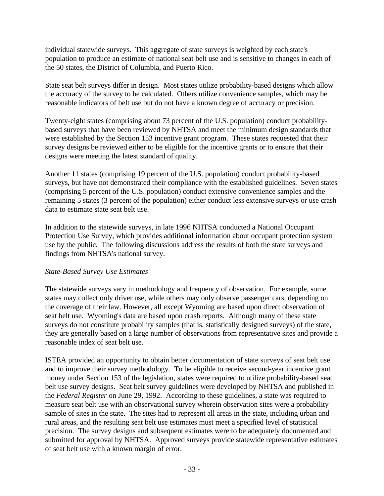individual statewide surveys. This aggregate of state surveys is weighted by each state's population to produce an estimate of national seat belt use and is sensitive to changes in each of the 50 states, the District of Columbia, and Puerto Rico.

State seat belt surveys differ in design. Most states utilize probability-based designs which allow the accuracy of the survey to be calculated. Others utilize convenience samples, which may be reasonable indicators of belt use but do not have a known degree of accuracy or precision.

Twenty-eight states (comprising about 73 percent of the U.S. population) conduct probabilitybased surveys that have been reviewed by NHTSA and meet the minimum design standards that were established by the Section 153 incentive grant program. These states requested that their survey designs be reviewed either to be eligible for the incentive grants or to ensure that their designs were meeting the latest standard of quality.

Another 11 states (comprising 19 percent of the U.S. population) conduct probability-based surveys, but have not demonstrated their compliance with the established guidelines. Seven states (comprising 5 percent of the U.S. population) conduct extensive convenience samples and the remaining 5 states (3 percent of the population) either conduct less extensive surveys or use crash data to estimate state seat belt use.

In addition to the statewide surveys, in late 1996 NHTSA conducted a National Occupant Protection Use Survey, which provides additional information about occupant protection system use by the public. The following discussions address the results of both the state surveys and findings from NHTSA's national survey.

## *State-Based Survey Use Estimates*

The statewide surveys vary in methodology and frequency of observation. For example, some states may collect only driver use, while others may only observe passenger cars, depending on the coverage of their law. However, all except Wyoming are based upon direct observation of seat belt use. Wyoming's data are based upon crash reports. Although many of these state surveys do not constitute probability samples (that is, statistically designed surveys) of the state, they are generally based on a large number of observations from representative sites and provide a reasonable index of seat belt use.

ISTEA provided an opportunity to obtain better documentation of state surveys of seat belt use and to improve their survey methodology. To be eligible to receive second-year incentive grant money under Section 153 of the legislation, states were required to utilize probability-based seat belt use survey designs. Seat belt survey guidelines were developed by NHTSA and published in the *Federal Register* on June 29, 1992. According to these guidelines, a state was required to measure seat belt use with an observational survey wherein observation sites were a probability sample of sites in the state. The sites had to represent all areas in the state, including urban and rural areas, and the resulting seat belt use estimates must meet a specified level of statistical precision. The survey designs and subsequent estimates were to be adequately documented and submitted for approval by NHTSA. Approved surveys provide statewide representative estimates of seat belt use with a known margin of error.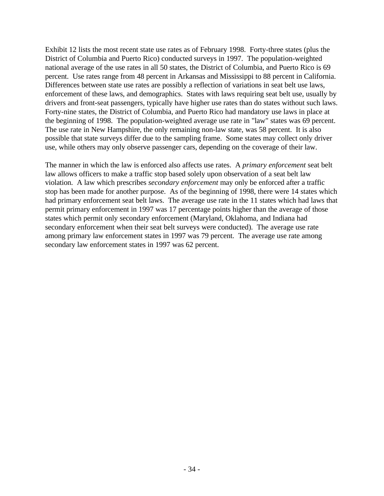Exhibit 12 lists the most recent state use rates as of February 1998. Forty-three states (plus the District of Columbia and Puerto Rico) conducted surveys in 1997. The population-weighted national average of the use rates in all 50 states, the District of Columbia, and Puerto Rico is 69 percent. Use rates range from 48 percent in Arkansas and Mississippi to 88 percent in California. Differences between state use rates are possibly a reflection of variations in seat belt use laws, enforcement of these laws, and demographics. States with laws requiring seat belt use, usually by drivers and front-seat passengers, typically have higher use rates than do states without such laws. Forty-nine states, the District of Columbia, and Puerto Rico had mandatory use laws in place at the beginning of 1998. The population-weighted average use rate in "law" states was 69 percent. The use rate in New Hampshire, the only remaining non-law state, was 58 percent. It is also possible that state surveys differ due to the sampling frame. Some states may collect only driver use, while others may only observe passenger cars, depending on the coverage of their law.

The manner in which the law is enforced also affects use rates. A *primary enforcement* seat belt law allows officers to make a traffic stop based solely upon observation of a seat belt law violation. A law which prescribes *secondary enforcement* may only be enforced after a traffic stop has been made for another purpose. As of the beginning of 1998, there were 14 states which had primary enforcement seat belt laws. The average use rate in the 11 states which had laws that permit primary enforcement in 1997 was 17 percentage points higher than the average of those states which permit only secondary enforcement (Maryland, Oklahoma, and Indiana had secondary enforcement when their seat belt surveys were conducted). The average use rate among primary law enforcement states in 1997 was 79 percent. The average use rate among secondary law enforcement states in 1997 was 62 percent.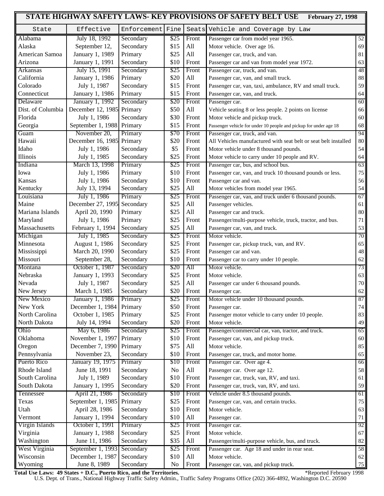|                   |                             |                  |                |       | STATE HIGHWAY SAFETY LAWS- KEY PROVISIONS OF SAFETY BELT USE<br><b>February 27, 1998</b> |        |
|-------------------|-----------------------------|------------------|----------------|-------|------------------------------------------------------------------------------------------|--------|
| State             | Effective                   | Enforcement Fine |                |       | Seats Vehicle and Coverage by Law                                                        |        |
| Alabama           | July 18, 1992               | Secondary        | \$25           | Front | Passenger car from model year 1965.                                                      | 52     |
| Alaska            | September 12,               | Secondary        | \$15           | All   | Motor vehicle. Over age 16.                                                              | 69     |
| American Samoa    | January 1, 1989             | Primary          | \$25           | All   | Passenger car, truck, and van.                                                           | 81     |
| Arizona           | January 1, 1991             | Secondary        | \$10           | Front | Passenger car and van from model year 1972.                                              | 63     |
| Arkansas          | July 15, 1991               | Secondary        | \$25           | Front | Passenger car, truck, and van.                                                           | 48     |
| California        | January 1, 1986             | Primary          | \$20           | All   | Passenger car, van, and small truck.                                                     | 88     |
| Colorado          | July 1, 1987                | Secondary        | \$15           | Front | Passenger car, van, taxi, ambulance, RV and small truck.                                 | 59     |
| Connecticut       | January 1, 1986             | Primary          | \$15           | Front | Passenger car, van, and truck.                                                           | 64     |
| Delaware          | January 1, 1992             | Secondary        | \$20           | Front | Passenger car.                                                                           | 60     |
| Dist. of Columbia | December 12, 1985 Primary   |                  | \$50           | All   | Vehicle seating 8 or less people. 2 points on license                                    | 66     |
| Florida           | July 1, 1986                | Secondary        | \$30           | Front | Motor vehicle and pickup truck.                                                          | 60     |
| Georgia           | September 1, 1988           | Primary          | \$15           | Front | Passenger vehicle for under 10 people and pickup for under age 18                        | 68     |
| Guam              | November 20,                | Primary          | \$70           | Front | Passenger car, truck, and van.                                                           | 94     |
| Hawaii            | December 16, 1985 Primary   |                  | \$20           | Front | All Vehicles manufactured with seat belt or seat belt installed                          | 80     |
| Idaho             | July 1, 1986                | Secondary        | \$5            | Front | Motor vehicle under 8 thousand pounds.                                                   | 54     |
| Illinois          | July 1, 1985                | Secondary        | \$25           | Front | Motor vehicle to carry under 10 people and RV.                                           | 64     |
| Indiana           | March 13, 1998              | Primary          | \$25           | Front | Passenger car, bus, and school bus.                                                      | 63     |
| Iowa              | July 1, 1986                | Primary          | \$10           | Front |                                                                                          | 75     |
|                   |                             |                  |                |       | Passenger car, van, and truck 10 thousand pounds or less.                                |        |
| Kansas            | July 1, 1986                | Secondary        | \$10           | Front | Passenger car and van.                                                                   | 56     |
| Kentucky          | July 13, 1994               | Secondary        | \$25           | All   | Motor vehicles from model year 1965.                                                     | 54     |
| Louisiana         | July 1, 1986                | Primary          | \$25           | Front | Passenger car, van, and truck under 6 thousand pounds.                                   | 67     |
| Maine             | December 27, 1995 Secondary |                  | \$25           | All   | Passenger vehicles.                                                                      | 61     |
| Mariana Islands   | April 20, 1990              | Primary          | \$25           | All   | Passenger car and truck.                                                                 | 80     |
| Maryland          | July 1, 1986                | Primary          | \$25           | Front | Passenger/multi-purpose vehicle, truck, tractor, and bus.                                | 71     |
| Massachusetts     | February 1, 1994            | Secondary        | \$25           | All   | Passenger car, van, and truck.                                                           | 53     |
| Michigan          | July 1, 1985                | Secondary        | \$25           | Front | Motor vehicle.                                                                           | 70     |
| Minnesota         | August 1, 1986              | Secondary        | \$25           | Front | Passenger car, pickup truck, van, and RV.                                                | 65     |
| Mississippi       | March 20, 1990              | Secondary        | \$25           | Front | Passenger car and van.                                                                   | 48     |
| Missouri          | September 28,               | Secondary        | \$10           | Front | Passenger car to carry under 10 people.                                                  | 62     |
| Montana           | October 1, 1987             | Secondary        | \$20           | All   | Motor vehicle.                                                                           | 73     |
| Nebraska          | January 1, 1993             | Secondary        | \$25           | Front | Motor vehicle.                                                                           | 63     |
| Nevada            | July 1, 1987                | Secondary        | \$25           | All   | Passenger car under 6 thousand pounds.                                                   | 70     |
| New Jersey        | March 1, 1985               | Secondary        | \$20           | Front | Passenger car.                                                                           | 62     |
| New Mexico        | January 1, 1986             | Primary          | \$25           | Front | Motor vehicle under 10 thousand pounds.                                                  | 87     |
| New York          | December 1, 1984            | Primary          | \$50           | Front | Passenger car.                                                                           | 74     |
| North Carolina    | October 1, 1985             | Primary          | \$25           | Front | Passenger motor vehicle to carry under 10 people.                                        | 83     |
| North Dakota      | July 14, 1994               | Secondary        | \$20           | Front | Motor vehicle.                                                                           | 49     |
| Ohio              | May 6, 1986                 | Secondary        | \$25           | Front | Passenger/commercial car, van, tractor, and truck.                                       | 65     |
| Oklahoma          | November 1, 1997            | Primary          | \$10           | Front | Passenger car, van, and pickup truck.                                                    | 60     |
| Oregon            | December 7, 1990            | Primary          | \$75           | All   | Motor vehicle.                                                                           | 85     |
| Pennsylvania      | November 23,                | Secondary        | \$10           | Front | Passenger car, truck, and motor home.                                                    | 65     |
| Puerto Rico       | January 19, 1975            | Primary          | \$10           | Front | Passenger car. Over age 4.                                                               | 66     |
| Rhode Island      | June 18, 1991               | Secondary        | N <sub>o</sub> | All   | Passenger car. Over age 12.                                                              | 58     |
| South Carolina    | July 1, 1989                | Secondary        | \$10           | Front | Passenger car, truck, van, RV, and taxi.                                                 | 61     |
| South Dakota      | January 1, 1995             | Secondary        | \$20           | Front | Passenger car, truck, van, RV, and taxi.                                                 | 59     |
| Tennessee         | April 21, 1986              | Secondary        | \$10           | Front | Vehicle under 8.5 thousand pounds.                                                       | 61     |
|                   |                             |                  |                |       |                                                                                          |        |
| Texas             | September 1, 1985           | Primary          | \$25           | Front | Passenger car, van, and certain trucks.                                                  | $75\,$ |
| Utah              | April 28, 1986              | Secondary        | \$10           | Front | Motor vehicle.                                                                           | 63     |
| Vermont           | January 1, 1994             | Secondary        | \$10           | All   | Passenger car.                                                                           | $71\,$ |
| Virgin Islands    | October 1, 1991             | Primary          | \$25           | Front | Passenger car.                                                                           | 92     |
| Virginia          | January 1, 1988             | Secondary        | \$25           | Front | Motor vehicle.                                                                           | 67     |
| Washington        | June 11, 1986               | Secondary        | \$35           | All   | Passenger/multi-purpose vehicle, bus, and truck.                                         | 82     |
| West Virginia     | September 1, 1993           | Secondary        | \$25           | Front | Passenger car. Age 18 and under in rear seat.                                            | 58     |
| Wisconsin         | December 1, 1987            | Secondary        | \$10           | All   | Motor vehicle.                                                                           | 62     |
| Wyoming           | June 8, 1989                | Secondary        | N <sub>o</sub> | Front | Passenger car, van, and pickup truck.                                                    | 75     |

**Total Use Laws: 49 States + D.C., Puerto Rico, and the Territories.** The mass of the second term of the second of the second of the second of the second of the second of the second of the second of the second of the secon

U.S. Dept. of Trans., National Highway Traffic Safety Admin., Traffic Safety Programs Office (202) 366-4892, Washington D.C. 20590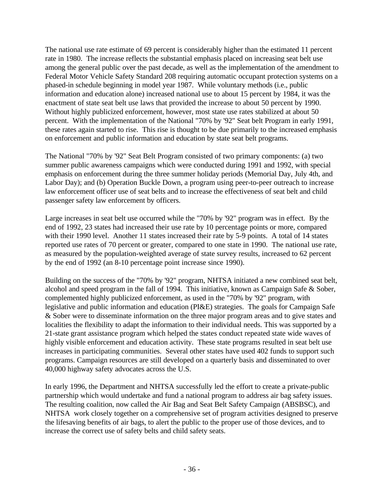The national use rate estimate of 69 percent is considerably higher than the estimated 11 percent rate in 1980. The increase reflects the substantial emphasis placed on increasing seat belt use among the general public over the past decade, as well as the implementation of the amendment to Federal Motor Vehicle Safety Standard 208 requiring automatic occupant protection systems on a phased-in schedule beginning in model year 1987. While voluntary methods (i.e., public information and education alone) increased national use to about 15 percent by 1984, it was the enactment of state seat belt use laws that provided the increase to about 50 percent by 1990. Without highly publicized enforcement, however, most state use rates stabilized at about 50 percent. With the implementation of the National "70% by '92" Seat belt Program in early 1991, these rates again started to rise. This rise is thought to be due primarily to the increased emphasis on enforcement and public information and education by state seat belt programs.

The National "70% by '92" Seat Belt Program consisted of two primary components: (a) two summer public awareness campaigns which were conducted during 1991 and 1992, with special emphasis on enforcement during the three summer holiday periods (Memorial Day, July 4th, and Labor Day); and (b) Operation Buckle Down, a program using peer-to-peer outreach to increase law enforcement officer use of seat belts and to increase the effectiveness of seat belt and child passenger safety law enforcement by officers.

Large increases in seat belt use occurred while the "70% by '92" program was in effect. By the end of 1992, 23 states had increased their use rate by 10 percentage points or more, compared with their 1990 level. Another 11 states increased their rate by 5-9 points. A total of 14 states reported use rates of 70 percent or greater, compared to one state in 1990. The national use rate, as measured by the population-weighted average of state survey results, increased to 62 percent by the end of 1992 (an 8-10 percentage point increase since 1990).

Building on the success of the "70% by '92" program, NHTSA initiated a new combined seat belt, alcohol and speed program in the fall of 1994. This initiative, known as Campaign Safe & Sober, complemented highly publicized enforcement, as used in the "70% by '92" program, with legislative and public information and education (PI&E) strategies. The goals for Campaign Safe & Sober were to disseminate information on the three major program areas and to give states and localities the flexibility to adapt the information to their individual needs. This was supported by a 21-state grant assistance program which helped the states conduct repeated state wide waves of highly visible enforcement and education activity. These state programs resulted in seat belt use increases in participating communities. Several other states have used 402 funds to support such programs. Campaign resources are still developed on a quarterly basis and disseminated to over 40,000 highway safety advocates across the U.S.

In early 1996, the Department and NHTSA successfully led the effort to create a private-public partnership which would undertake and fund a national program to address air bag safety issues. The resulting coalition, now called the Air Bag and Seat Belt Safety Campaign (ABSBSC), and NHTSA work closely together on a comprehensive set of program activities designed to preserve the lifesaving benefits of air bags, to alert the public to the proper use of those devices, and to increase the correct use of safety belts and child safety seats.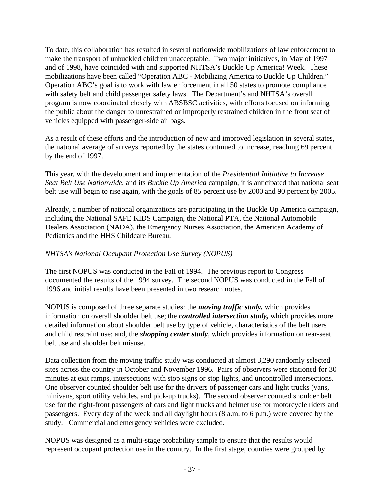To date, this collaboration has resulted in several nationwide mobilizations of law enforcement to make the transport of unbuckled children unacceptable. Two major initiatives, in May of 1997 and of 1998, have coincided with and supported NHTSA's Buckle Up America! Week. These mobilizations have been called "Operation ABC - Mobilizing America to Buckle Up Children." Operation ABC's goal is to work with law enforcement in all 50 states to promote compliance with safety belt and child passenger safety laws. The Department's and NHTSA's overall program is now coordinated closely with ABSBSC activities, with efforts focused on informing the public about the danger to unrestrained or improperly restrained children in the front seat of vehicles equipped with passenger-side air bags.

As a result of these efforts and the introduction of new and improved legislation in several states, the national average of surveys reported by the states continued to increase, reaching 69 percent by the end of 1997.

This year, with the development and implementation of the *Presidential Initiative to Increase Seat Belt Use Nationwide,* and its *Buckle Up America* campaign, it is anticipated that national seat belt use will begin to rise again, with the goals of 85 percent use by 2000 and 90 percent by 2005.

Already, a number of national organizations are participating in the Buckle Up America campaign, including the National SAFE KIDS Campaign, the National PTA, the National Automobile Dealers Association (NADA), the Emergency Nurses Association, the American Academy of Pediatrics and the HHS Childcare Bureau.

## *NHTSA's National Occupant Protection Use Survey (NOPUS)*

The first NOPUS was conducted in the Fall of 1994. The previous report to Congress documented the results of the 1994 survey. The second NOPUS was conducted in the Fall of 1996 and initial results have been presented in two research notes.

NOPUS is composed of three separate studies: the *moving traffic study,* which provides information on overall shoulder belt use; the *controlled intersection study,* which provides more detailed information about shoulder belt use by type of vehicle, characteristics of the belt users and child restraint use; and, the *shopping center study*, which provides information on rear-seat belt use and shoulder belt misuse.

Data collection from the moving traffic study was conducted at almost 3,290 randomly selected sites across the country in October and November 1996. Pairs of observers were stationed for 30 minutes at exit ramps, intersections with stop signs or stop lights, and uncontrolled intersections. One observer counted shoulder belt use for the drivers of passenger cars and light trucks (vans, minivans, sport utility vehicles, and pick-up trucks). The second observer counted shoulder belt use for the right-front passengers of cars and light trucks and helmet use for motorcycle riders and passengers. Every day of the week and all daylight hours (8 a.m. to 6 p.m.) were covered by the study. Commercial and emergency vehicles were excluded.

NOPUS was designed as a multi-stage probability sample to ensure that the results would represent occupant protection use in the country. In the first stage, counties were grouped by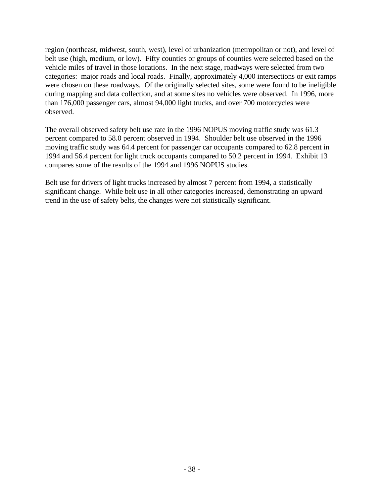region (northeast, midwest, south, west), level of urbanization (metropolitan or not), and level of belt use (high, medium, or low). Fifty counties or groups of counties were selected based on the vehicle miles of travel in those locations. In the next stage, roadways were selected from two categories: major roads and local roads. Finally, approximately 4,000 intersections or exit ramps were chosen on these roadways. Of the originally selected sites, some were found to be ineligible during mapping and data collection, and at some sites no vehicles were observed. In 1996, more than 176,000 passenger cars, almost 94,000 light trucks, and over 700 motorcycles were observed.

The overall observed safety belt use rate in the 1996 NOPUS moving traffic study was 61.3 percent compared to 58.0 percent observed in 1994. Shoulder belt use observed in the 1996 moving traffic study was 64.4 percent for passenger car occupants compared to 62.8 percent in 1994 and 56.4 percent for light truck occupants compared to 50.2 percent in 1994. Exhibit 13 compares some of the results of the 1994 and 1996 NOPUS studies.

Belt use for drivers of light trucks increased by almost 7 percent from 1994, a statistically significant change. While belt use in all other categories increased, demonstrating an upward trend in the use of safety belts, the changes were not statistically significant.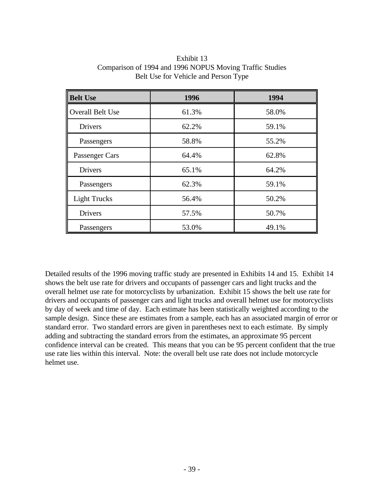| <b>Belt Use</b>         | 1996<br>1994 |       |  |
|-------------------------|--------------|-------|--|
| <b>Overall Belt Use</b> | 61.3%        | 58.0% |  |
| <b>Drivers</b>          | 62.2%        | 59.1% |  |
| Passengers              | 58.8%        | 55.2% |  |
| Passenger Cars          | 64.4%        | 62.8% |  |
| <b>Drivers</b>          | 65.1%        | 64.2% |  |
| Passengers              | 62.3%        | 59.1% |  |
| <b>Light Trucks</b>     | 56.4%        | 50.2% |  |
| <b>Drivers</b>          | 57.5%        | 50.7% |  |
| Passengers              | 53.0%        | 49.1% |  |

Exhibit 13 Comparison of 1994 and 1996 NOPUS Moving Traffic Studies Belt Use for Vehicle and Person Type

Detailed results of the 1996 moving traffic study are presented in Exhibits 14 and 15. Exhibit 14 shows the belt use rate for drivers and occupants of passenger cars and light trucks and the overall helmet use rate for motorcyclists by urbanization. Exhibit 15 shows the belt use rate for drivers and occupants of passenger cars and light trucks and overall helmet use for motorcyclists by day of week and time of day. Each estimate has been statistically weighted according to the sample design. Since these are estimates from a sample, each has an associated margin of error or standard error. Two standard errors are given in parentheses next to each estimate. By simply adding and subtracting the standard errors from the estimates, an approximate 95 percent confidence interval can be created. This means that you can be 95 percent confident that the true use rate lies within this interval. Note: the overall belt use rate does not include motorcycle helmet use.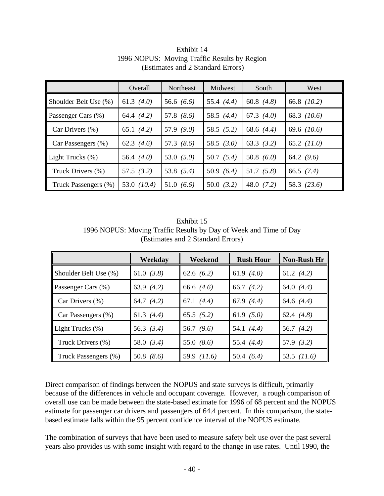|                       | Overall        | Northeast    | Midwest      | South        | West          |
|-----------------------|----------------|--------------|--------------|--------------|---------------|
| Shoulder Belt Use (%) | 61.3 $(4.0)$   | 56.6 $(6.6)$ | 55.4 $(4.4)$ | 60.8 $(4.8)$ | 66.8 (10.2)   |
| Passenger Cars (%)    | 64.4 $(4.2)$   | 57.8 $(8.6)$ | 58.5 $(4.4)$ | 67.3 $(4.0)$ | 68.3 (10.6)   |
| Car Drivers $(\% )$   | 65.1 $(4.2)$   | 57.9 $(9.0)$ | 58.5 $(5.2)$ | 68.6 $(4.4)$ | 69.6 $(10.6)$ |
| Car Passengers (%)    | 62.3 $(4.6)$   | 57.3 $(8.6)$ | 58.5 $(3.0)$ | 63.3 $(3.2)$ | 65.2 $(11.0)$ |
| Light Trucks (%)      | 56.4 $(4.0)$   | 53.0 $(5.0)$ | 50.7 $(5.4)$ | 50.8 $(6.0)$ | 64.2 $(9.6)$  |
| Truck Drivers (%)     | 57.5 $(3.2)$   | 53.8 $(5.4)$ | 50.9 $(6.4)$ | 51.7(5.8)    | 66.5 $(7.4)$  |
| Truck Passengers (%)  | (10.4)<br>53.0 | 51.0 $(6.6)$ | 50.0(3.2)    | 48.0 $(7.2)$ | 58.3 (23.6)   |

Exhibit 14 1996 NOPUS: Moving Traffic Results by Region (Estimates and 2 Standard Errors)

Exhibit 15 1996 NOPUS: Moving Traffic Results by Day of Week and Time of Day (Estimates and 2 Standard Errors)

|                       | Weekday      | Weekend      | <b>Rush Hour</b> | Non-Rush Hr  |
|-----------------------|--------------|--------------|------------------|--------------|
| Shoulder Belt Use (%) | 61.0 $(3.8)$ | 62.6 $(6.2)$ | 61.9 $(4.0)$     | 61.2 $(4.2)$ |
| Passenger Cars (%)    | 63.9 $(4.2)$ | 66.6 $(4.6)$ | 66.7 $(4.2)$     | 64.0 $(4.4)$ |
| Car Drivers (%)       | 64.7 $(4.2)$ | 67.1 $(4.4)$ | 67.9 $(4.4)$     | 64.6 $(4.4)$ |
| Car Passengers (%)    | 61.3 $(4.4)$ | 65.5(5.2)    | 61.9 $(5.0)$     | 62.4 $(4.8)$ |
| Light Trucks $(\%)$   | 56.3 $(3.4)$ | 56.7 $(9.6)$ | 54.1 $(4.4)$     | 56.7 $(4.2)$ |
| Truck Drivers (%)     | 58.0 $(3.4)$ | 55.0 $(8.6)$ | 55.4 $(4.4)$     | 57.9 $(3.2)$ |
| Truck Passengers (%)  | 50.8 $(8.6)$ | 59.9 (11.6)  | 50.4 $(6.4)$     | 53.5 (11.6)  |

Direct comparison of findings between the NOPUS and state surveys is difficult, primarily because of the differences in vehicle and occupant coverage. However, a rough comparison of overall use can be made between the state-based estimate for 1996 of 68 percent and the NOPUS estimate for passenger car drivers and passengers of 64.4 percent. In this comparison, the statebased estimate falls within the 95 percent confidence interval of the NOPUS estimate.

The combination of surveys that have been used to measure safety belt use over the past several years also provides us with some insight with regard to the change in use rates. Until 1990, the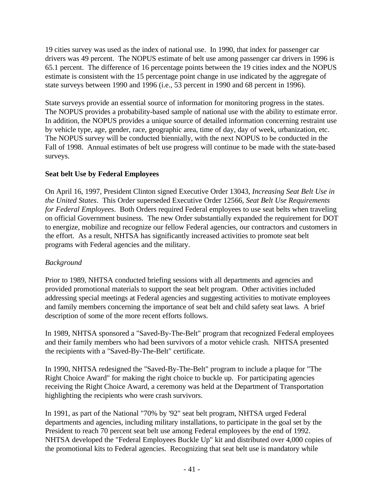19 cities survey was used as the index of national use. In 1990, that index for passenger car drivers was 49 percent. The NOPUS estimate of belt use among passenger car drivers in 1996 is 65.1 percent. The difference of 16 percentage points between the 19 cities index and the NOPUS estimate is consistent with the 15 percentage point change in use indicated by the aggregate of state surveys between 1990 and 1996 (i.e., 53 percent in 1990 and 68 percent in 1996).

State surveys provide an essential source of information for monitoring progress in the states. The NOPUS provides a probability-based sample of national use with the ability to estimate error. In addition, the NOPUS provides a unique source of detailed information concerning restraint use by vehicle type, age, gender, race, geographic area, time of day, day of week, urbanization, etc. The NOPUS survey will be conducted biennially, with the next NOPUS to be conducted in the Fall of 1998. Annual estimates of belt use progress will continue to be made with the state-based surveys.

## **Seat belt Use by Federal Employees**

On April 16, 1997, President Clinton signed Executive Order 13043, *Increasing Seat Belt Use in the United States*. This Order superseded Executive Order 12566, *Seat Belt Use Requirements for Federal Employees*. Both Orders required Federal employees to use seat belts when traveling on official Government business. The new Order substantially expanded the requirement for DOT to energize, mobilize and recognize our fellow Federal agencies, our contractors and customers in the effort. As a result, NHTSA has significantly increased activities to promote seat belt programs with Federal agencies and the military.

## *Background*

Prior to 1989, NHTSA conducted briefing sessions with all departments and agencies and provided promotional materials to support the seat belt program. Other activities included addressing special meetings at Federal agencies and suggesting activities to motivate employees and family members concerning the importance of seat belt and child safety seat laws. A brief description of some of the more recent efforts follows.

In 1989, NHTSA sponsored a "Saved-By-The-Belt" program that recognized Federal employees and their family members who had been survivors of a motor vehicle crash. NHTSA presented the recipients with a "Saved-By-The-Belt" certificate.

In 1990, NHTSA redesigned the "Saved-By-The-Belt" program to include a plaque for "The Right Choice Award" for making the right choice to buckle up. For participating agencies receiving the Right Choice Award, a ceremony was held at the Department of Transportation highlighting the recipients who were crash survivors.

In 1991, as part of the National "70% by '92" seat belt program, NHTSA urged Federal departments and agencies, including military installations, to participate in the goal set by the President to reach 70 percent seat belt use among Federal employees by the end of 1992. NHTSA developed the "Federal Employees Buckle Up" kit and distributed over 4,000 copies of the promotional kits to Federal agencies. Recognizing that seat belt use is mandatory while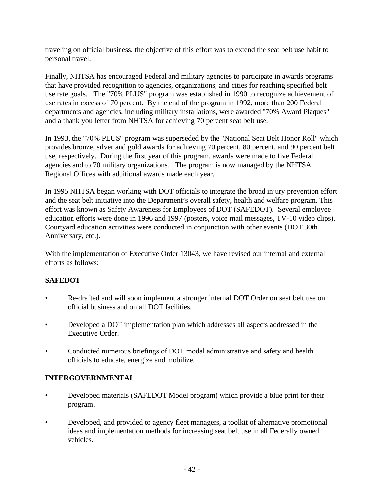traveling on official business, the objective of this effort was to extend the seat belt use habit to personal travel.

Finally, NHTSA has encouraged Federal and military agencies to participate in awards programs that have provided recognition to agencies, organizations, and cities for reaching specified belt use rate goals. The "70% PLUS" program was established in 1990 to recognize achievement of use rates in excess of 70 percent. By the end of the program in 1992, more than 200 Federal departments and agencies, including military installations, were awarded "70% Award Plaques" and a thank you letter from NHTSA for achieving 70 percent seat belt use.

In 1993, the "70% PLUS" program was superseded by the "National Seat Belt Honor Roll" which provides bronze, silver and gold awards for achieving 70 percent, 80 percent, and 90 percent belt use, respectively. During the first year of this program, awards were made to five Federal agencies and to 70 military organizations. The program is now managed by the NHTSA Regional Offices with additional awards made each year.

In 1995 NHTSA began working with DOT officials to integrate the broad injury prevention effort and the seat belt initiative into the Department's overall safety, health and welfare program. This effort was known as Safety Awareness for Employees of DOT (SAFEDOT). Several employee education efforts were done in 1996 and 1997 (posters, voice mail messages, TV-10 video clips). Courtyard education activities were conducted in conjunction with other events (DOT 30th Anniversary, etc.).

With the implementation of Executive Order 13043, we have revised our internal and external efforts as follows:

## **SAFEDOT**

- Re-drafted and will soon implement a stronger internal DOT Order on seat belt use on official business and on all DOT facilities.
- Developed a DOT implementation plan which addresses all aspects addressed in the Executive Order.
- Conducted numerous briefings of DOT modal administrative and safety and health officials to educate, energize and mobilize.

## **INTERGOVERNMENTAL**

- Developed materials (SAFEDOT Model program) which provide a blue print for their program.
- Developed, and provided to agency fleet managers, a toolkit of alternative promotional ideas and implementation methods for increasing seat belt use in all Federally owned vehicles.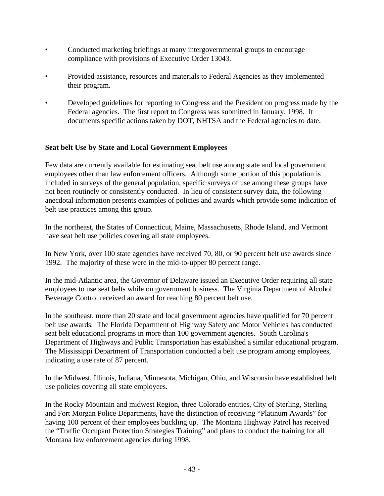- Conducted marketing briefings at many intergovernmental groups to encourage compliance with provisions of Executive Order 13043.
- Provided assistance, resources and materials to Federal Agencies as they implemented their program.
- Developed guidelines for reporting to Congress and the President on progress made by the Federal agencies. The first report to Congress was submitted in January, 1998. It documents specific actions taken by DOT, NHTSA and the Federal agencies to date.

## **Seat belt Use by State and Local Government Employees**

Few data are currently available for estimating seat belt use among state and local government employees other than law enforcement officers. Although some portion of this population is included in surveys of the general population, specific surveys of use among these groups have not been routinely or consistently conducted. In lieu of consistent survey data, the following anecdotal information presents examples of policies and awards which provide some indication of belt use practices among this group.

In the northeast, the States of Connecticut, Maine, Massachusetts, Rhode Island, and Vermont have seat belt use policies covering all state employees.

In New York, over 100 state agencies have received 70, 80, or 90 percent belt use awards since 1992. The majority of these were in the mid-to-upper 80 percent range.

In the mid-Atlantic area, the Governor of Delaware issued an Executive Order requiring all state employees to use seat belts while on government business. The Virginia Department of Alcohol Beverage Control received an award for reaching 80 percent belt use.

In the southeast, more than 20 state and local government agencies have qualified for 70 percent belt use awards. The Florida Department of Highway Safety and Motor Vehicles has conducted seat belt educational programs in more than 100 government agencies. South Carolina's Department of Highways and Public Transportation has established a similar educational program. The Mississippi Department of Transportation conducted a belt use program among employees, indicating a use rate of 87 percent.

In the Midwest, Illinois, Indiana, Minnesota, Michigan, Ohio, and Wisconsin have established belt use policies covering all state employees.

In the Rocky Mountain and midwest Region, three Colorado entities, City of Sterling, Sterling and Fort Morgan Police Departments, have the distinction of receiving "Platinum Awards" for having 100 percent of their employees buckling up. The Montana Highway Patrol has received the "Traffic Occupant Protection Strategies Training" and plans to conduct the training for all Montana law enforcement agencies during 1998.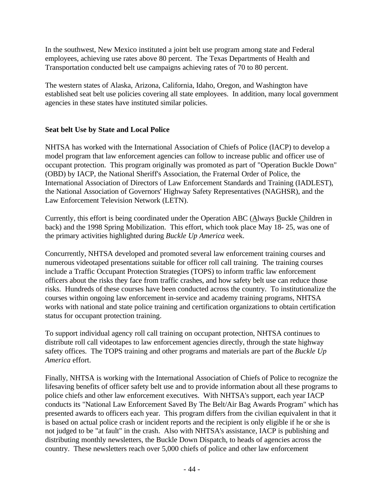In the southwest, New Mexico instituted a joint belt use program among state and Federal employees, achieving use rates above 80 percent. The Texas Departments of Health and Transportation conducted belt use campaigns achieving rates of 70 to 80 percent.

The western states of Alaska, Arizona, California, Idaho, Oregon, and Washington have established seat belt use policies covering all state employees. In addition, many local government agencies in these states have instituted similar policies.

## **Seat belt Use by State and Local Police**

NHTSA has worked with the International Association of Chiefs of Police (IACP) to develop a model program that law enforcement agencies can follow to increase public and officer use of occupant protection. This program originally was promoted as part of "Operation Buckle Down" (OBD) by IACP, the National Sheriff's Association, the Fraternal Order of Police, the International Association of Directors of Law Enforcement Standards and Training (IADLEST), the National Association of Governors' Highway Safety Representatives (NAGHSR), and the Law Enforcement Television Network (LETN).

Currently, this effort is being coordinated under the Operation ABC (Always Buckle Children in back) and the 1998 Spring Mobilization. This effort, which took place May 18- 25, was one of the primary activities highlighted during *Buckle Up America* week.

Concurrently, NHTSA developed and promoted several law enforcement training courses and numerous videotaped presentations suitable for officer roll call training. The training courses include a Traffic Occupant Protection Strategies (TOPS) to inform traffic law enforcement officers about the risks they face from traffic crashes, and how safety belt use can reduce those risks. Hundreds of these courses have been conducted across the country. To institutionalize the courses within ongoing law enforcement in-service and academy training programs, NHTSA works with national and state police training and certification organizations to obtain certification status for occupant protection training.

To support individual agency roll call training on occupant protection, NHTSA continues to distribute roll call videotapes to law enforcement agencies directly, through the state highway safety offices. The TOPS training and other programs and materials are part of the *Buckle Up America* effort.

Finally, NHTSA is working with the International Association of Chiefs of Police to recognize the lifesaving benefits of officer safety belt use and to provide information about all these programs to police chiefs and other law enforcement executives. With NHTSA's support, each year IACP conducts its "National Law Enforcement Saved By The Belt/Air Bag Awards Program" which has presented awards to officers each year. This program differs from the civilian equivalent in that it is based on actual police crash or incident reports and the recipient is only eligible if he or she is not judged to be "at fault" in the crash. Also with NHTSA's assistance, IACP is publishing and distributing monthly newsletters, the Buckle Down Dispatch, to heads of agencies across the country. These newsletters reach over 5,000 chiefs of police and other law enforcement